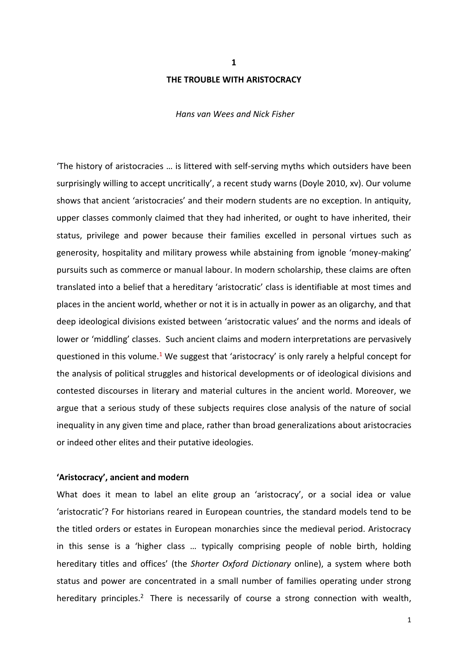**1**

## **THE TROUBLE WITH ARISTOCRACY**

*Hans van Wees and Nick Fisher*

'The history of aristocracies … is littered with self-serving myths which outsiders have been surprisingly willing to accept uncritically', a recent study warns (Doyle 2010, xv). Our volume shows that ancient 'aristocracies' and their modern students are no exception. In antiquity, upper classes commonly claimed that they had inherited, or ought to have inherited, their status, privilege and power because their families excelled in personal virtues such as generosity, hospitality and military prowess while abstaining from ignoble 'money-making' pursuits such as commerce or manual labour. In modern scholarship, these claims are often translated into a belief that a hereditary 'aristocratic' class is identifiable at most times and places in the ancient world, whether or not it is in actually in power as an oligarchy, and that deep ideological divisions existed between 'aristocratic values' and the norms and ideals of lower or 'middling' classes. Such ancient claims and modern interpretations are pervasively questioned in this volume.<sup>1</sup> We suggest that 'aristocracy' is only rarely a helpful concept for the analysis of political struggles and historical developments or of ideological divisions and contested discourses in literary and material cultures in the ancient world. Moreover, we argue that a serious study of these subjects requires close analysis of the nature of social inequality in any given time and place, rather than broad generalizations about aristocracies or indeed other elites and their putative ideologies.

## **'Aristocracy', ancient and modern**

What does it mean to label an elite group an 'aristocracy', or a social idea or value 'aristocratic'? For historians reared in European countries, the standard models tend to be the titled orders or estates in European monarchies since the medieval period. Aristocracy in this sense is a 'higher class … typically comprising people of noble birth, holding hereditary titles and offices' (the *Shorter Oxford Dictionary* online), a system where both status and power are concentrated in a small number of families operating under strong hereditary principles.<sup>2</sup> There is necessarily of course a strong connection with wealth,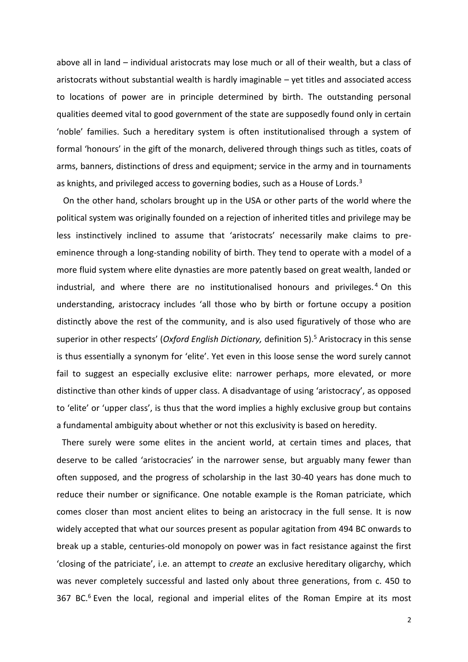above all in land – individual aristocrats may lose much or all of their wealth, but a class of aristocrats without substantial wealth is hardly imaginable – yet titles and associated access to locations of power are in principle determined by birth. The outstanding personal qualities deemed vital to good government of the state are supposedly found only in certain 'noble' families. Such a hereditary system is often institutionalised through a system of formal 'honours' in the gift of the monarch, delivered through things such as titles, coats of arms, banners, distinctions of dress and equipment; service in the army and in tournaments as knights, and privileged access to governing bodies, such as a House of Lords. $3$ 

 On the other hand, scholars brought up in the USA or other parts of the world where the political system was originally founded on a rejection of inherited titles and privilege may be less instinctively inclined to assume that 'aristocrats' necessarily make claims to preeminence through a long-standing nobility of birth. They tend to operate with a model of a more fluid system where elite dynasties are more patently based on great wealth, landed or industrial, and where there are no institutionalised honours and privileges.<sup>4</sup> On this understanding, aristocracy includes 'all those who by birth or fortune occupy a position distinctly above the rest of the community, and is also used figuratively of those who are superior in other respects' (*Oxford English Dictionary,* definition 5).<sup>5</sup> Aristocracy in this sense is thus essentially a synonym for 'elite'. Yet even in this loose sense the word surely cannot fail to suggest an especially exclusive elite: narrower perhaps, more elevated, or more distinctive than other kinds of upper class. A disadvantage of using 'aristocracy', as opposed to 'elite' or 'upper class', is thus that the word implies a highly exclusive group but contains a fundamental ambiguity about whether or not this exclusivity is based on heredity.

 There surely were some elites in the ancient world, at certain times and places, that deserve to be called 'aristocracies' in the narrower sense, but arguably many fewer than often supposed, and the progress of scholarship in the last 30-40 years has done much to reduce their number or significance. One notable example is the Roman patriciate, which comes closer than most ancient elites to being an aristocracy in the full sense. It is now widely accepted that what our sources present as popular agitation from 494 BC onwards to break up a stable, centuries-old monopoly on power was in fact resistance against the first 'closing of the patriciate', i.e. an attempt to *create* an exclusive hereditary oligarchy, which was never completely successful and lasted only about three generations, from c. 450 to  $367$  BC. $<sup>6</sup>$  Even the local, regional and imperial elites of the Roman Empire at its most</sup>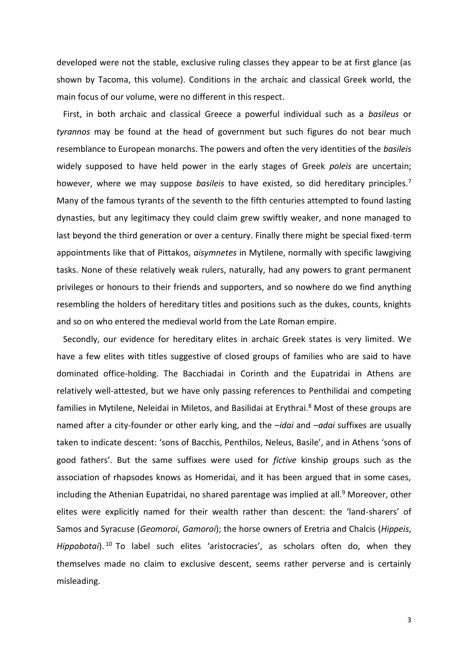developed were not the stable, exclusive ruling classes they appear to be at first glance (as shown by Tacoma, this volume). Conditions in the archaic and classical Greek world, the main focus of our volume, were no different in this respect.

 First, in both archaic and classical Greece a powerful individual such as a *basileus* or *tyrannos* may be found at the head of government but such figures do not bear much resemblance to European monarchs. The powers and often the very identities of the *basileis* widely supposed to have held power in the early stages of Greek *poleis* are uncertain; however, where we may suppose *basileis* to have existed, so did hereditary principles.<sup>7</sup> Many of the famous tyrants of the seventh to the fifth centuries attempted to found lasting dynasties, but any legitimacy they could claim grew swiftly weaker, and none managed to last beyond the third generation or over a century. Finally there might be special fixed-term appointments like that of Pittakos, *aisymnetes* in Mytilene, normally with specific lawgiving tasks. None of these relatively weak rulers, naturally, had any powers to grant permanent privileges or honours to their friends and supporters, and so nowhere do we find anything resembling the holders of hereditary titles and positions such as the dukes, counts, knights and so on who entered the medieval world from the Late Roman empire.

 Secondly, our evidence for hereditary elites in archaic Greek states is very limited. We have a few elites with titles suggestive of closed groups of families who are said to have dominated office-holding. The Bacchiadai in Corinth and the Eupatridai in Athens are relatively well-attested, but we have only passing references to Penthilidai and competing families in Mytilene, Neleidai in Miletos, and Basilidai at Erythrai.<sup>8</sup> Most of these groups are named after a city-founder or other early king, and the –*idai* and –*adai* suffixes are usually taken to indicate descent: 'sons of Bacchis, Penthilos, Neleus, Basile', and in Athens 'sons of good fathers'. But the same suffixes were used for *fictive* kinship groups such as the association of rhapsodes knows as Homeridai, and it has been argued that in some cases, including the Athenian Eupatridai, no shared parentage was implied at all.<sup>9</sup> Moreover, other elites were explicitly named for their wealth rather than descent: the 'land-sharers' of Samos and Syracuse (*Geomoroi*, *Gamoroi*); the horse owners of Eretria and Chalcis (*Hippeis*, *Hippobotai*). <sup>10</sup> To label such elites 'aristocracies', as scholars often do, when they themselves made no claim to exclusive descent, seems rather perverse and is certainly misleading.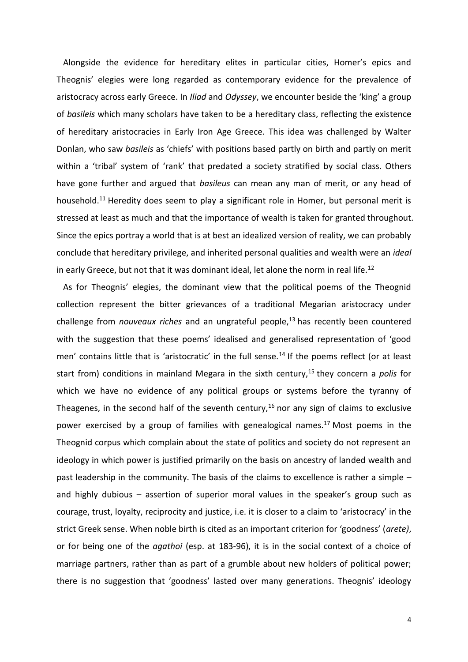Alongside the evidence for hereditary elites in particular cities, Homer's epics and Theognis' elegies were long regarded as contemporary evidence for the prevalence of aristocracy across early Greece. In *Iliad* and *Odyssey*, we encounter beside the 'king' a group of *basileis* which many scholars have taken to be a hereditary class, reflecting the existence of hereditary aristocracies in Early Iron Age Greece. This idea was challenged by Walter Donlan, who saw *basileis* as 'chiefs' with positions based partly on birth and partly on merit within a 'tribal' system of 'rank' that predated a society stratified by social class. Others have gone further and argued that *basileus* can mean any man of merit, or any head of household.<sup>11</sup> Heredity does seem to play a significant role in Homer, but personal merit is stressed at least as much and that the importance of wealth is taken for granted throughout. Since the epics portray a world that is at best an idealized version of reality, we can probably conclude that hereditary privilege, and inherited personal qualities and wealth were an *ideal* in early Greece, but not that it was dominant ideal, let alone the norm in real life.<sup>12</sup>

 As for Theognis' elegies, the dominant view that the political poems of the Theognid collection represent the bitter grievances of a traditional Megarian aristocracy under challenge from *nouveaux riches* and an ungrateful people,<sup>13</sup> has recently been countered with the suggestion that these poems' idealised and generalised representation of 'good men' contains little that is 'aristocratic' in the full sense.<sup>14</sup> If the poems reflect (or at least start from) conditions in mainland Megara in the sixth century,<sup>15</sup> they concern a *polis* for which we have no evidence of any political groups or systems before the tyranny of Theagenes, in the second half of the seventh century,  $16$  nor any sign of claims to exclusive power exercised by a group of families with genealogical names.<sup>17</sup> Most poems in the Theognid corpus which complain about the state of politics and society do not represent an ideology in which power is justified primarily on the basis on ancestry of landed wealth and past leadership in the community. The basis of the claims to excellence is rather a simple – and highly dubious – assertion of superior moral values in the speaker's group such as courage, trust, loyalty, reciprocity and justice, i.e. it is closer to a claim to 'aristocracy' in the strict Greek sense. When noble birth is cited as an important criterion for 'goodness' (*arete)*, or for being one of the *agathoi* (esp. at 183-96), it is in the social context of a choice of marriage partners, rather than as part of a grumble about new holders of political power; there is no suggestion that 'goodness' lasted over many generations. Theognis' ideology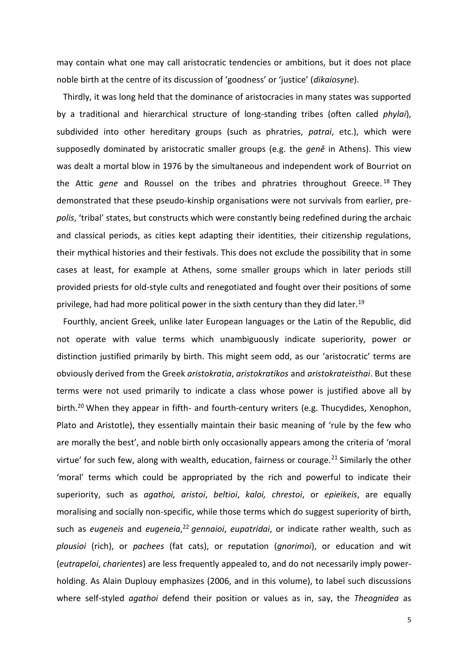may contain what one may call aristocratic tendencies or ambitions, but it does not place noble birth at the centre of its discussion of 'goodness' or 'justice' (*dikaiosyne*).

 Thirdly, it was long held that the dominance of aristocracies in many states was supported by a traditional and hierarchical structure of long-standing tribes (often called *phylai*), subdivided into other hereditary groups (such as phratries, *patrai*, etc.), which were supposedly dominated by aristocratic smaller groups (e.g. the *genê* in Athens). This view was dealt a mortal blow in 1976 by the simultaneous and independent work of Bourriot on the Attic *gene* and Roussel on the tribes and phratries throughout Greece. <sup>18</sup> They demonstrated that these pseudo-kinship organisations were not survivals from earlier, pre*polis*, 'tribal' states, but constructs which were constantly being redefined during the archaic and classical periods, as cities kept adapting their identities, their citizenship regulations, their mythical histories and their festivals. This does not exclude the possibility that in some cases at least, for example at Athens, some smaller groups which in later periods still provided priests for old-style cults and renegotiated and fought over their positions of some privilege, had had more political power in the sixth century than they did later.<sup>19</sup>

 Fourthly, ancient Greek, unlike later European languages or the Latin of the Republic, did not operate with value terms which unambiguously indicate superiority, power or distinction justified primarily by birth. This might seem odd, as our 'aristocratic' terms are obviously derived from the Greek *aristokratia*, *aristokratikos* and *aristokrateisthai*. But these terms were not used primarily to indicate a class whose power is justified above all by birth.<sup>20</sup> When they appear in fifth- and fourth-century writers (e.g. Thucydides, Xenophon, Plato and Aristotle), they essentially maintain their basic meaning of 'rule by the few who are morally the best', and noble birth only occasionally appears among the criteria of 'moral virtue' for such few, along with wealth, education, fairness or courage.<sup>21</sup> Similarly the other 'moral' terms which could be appropriated by the rich and powerful to indicate their superiority, such as *agathoi, aristoi*, *beltioi*, *kaloi, chrestoi*, or *epieikeis*, are equally moralising and socially non-specific, while those terms which do suggest superiority of birth, such as *eugeneis* and *eugeneia*, <sup>22</sup> *gennaioi*, *eupatridai*, or indicate rather wealth, such as *plousioi* (rich), or *pachees* (fat cats), or reputation (*gnorimoi*), or education and wit (*eutrapeloi*, *charientes*) are less frequently appealed to, and do not necessarily imply powerholding. As Alain Duplouy emphasizes (2006, and in this volume), to label such discussions where self-styled *agathoi* defend their position or values as in, say, the *Theognidea* as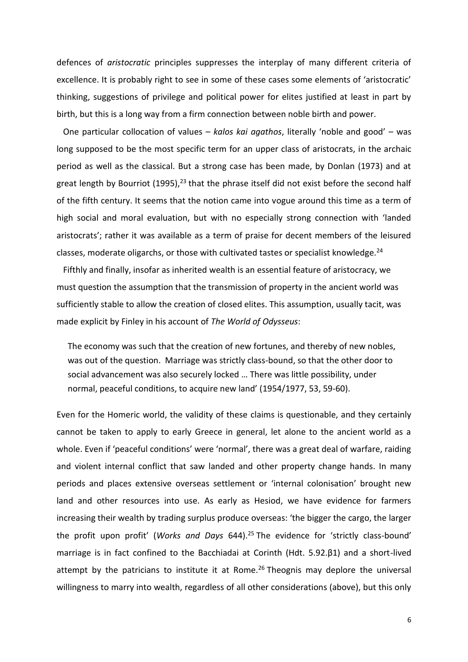defences of *aristocratic* principles suppresses the interplay of many different criteria of excellence. It is probably right to see in some of these cases some elements of 'aristocratic' thinking, suggestions of privilege and political power for elites justified at least in part by birth, but this is a long way from a firm connection between noble birth and power.

 One particular collocation of values – *kalos kai agathos*, literally 'noble and good' – was long supposed to be the most specific term for an upper class of aristocrats, in the archaic period as well as the classical. But a strong case has been made, by Donlan (1973) and at great length by Bourriot (1995),<sup>23</sup> that the phrase itself did not exist before the second half of the fifth century. It seems that the notion came into vogue around this time as a term of high social and moral evaluation, but with no especially strong connection with 'landed aristocrats'; rather it was available as a term of praise for decent members of the leisured classes, moderate oligarchs, or those with cultivated tastes or specialist knowledge.<sup>24</sup>

 Fifthly and finally, insofar as inherited wealth is an essential feature of aristocracy, we must question the assumption that the transmission of property in the ancient world was sufficiently stable to allow the creation of closed elites. This assumption, usually tacit, was made explicit by Finley in his account of *The World of Odysseus*:

The economy was such that the creation of new fortunes, and thereby of new nobles, was out of the question. Marriage was strictly class-bound, so that the other door to social advancement was also securely locked … There was little possibility, under normal, peaceful conditions, to acquire new land' (1954/1977, 53, 59-60).

Even for the Homeric world, the validity of these claims is questionable, and they certainly cannot be taken to apply to early Greece in general, let alone to the ancient world as a whole. Even if 'peaceful conditions' were 'normal', there was a great deal of warfare, raiding and violent internal conflict that saw landed and other property change hands. In many periods and places extensive overseas settlement or 'internal colonisation' brought new land and other resources into use. As early as Hesiod, we have evidence for farmers increasing their wealth by trading surplus produce overseas: 'the bigger the cargo, the larger the profit upon profit' (Works and Days 644).<sup>25</sup> The evidence for 'strictly class-bound' marriage is in fact confined to the Bacchiadai at Corinth (Hdt. 5.92.β1) and a short-lived attempt by the patricians to institute it at Rome.<sup>26</sup> Theognis may deplore the universal willingness to marry into wealth, regardless of all other considerations (above), but this only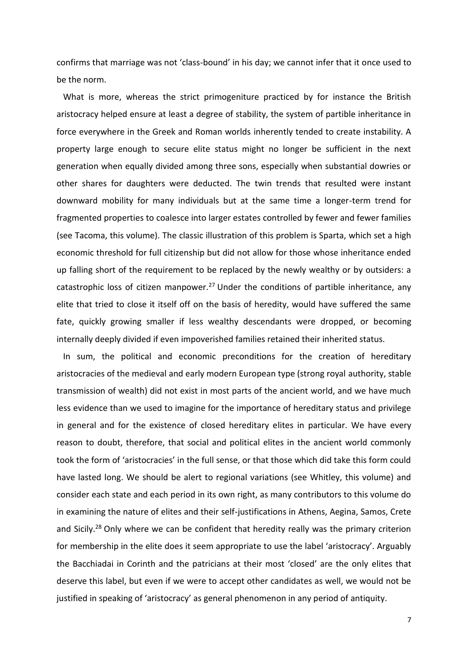confirms that marriage was not 'class-bound' in his day; we cannot infer that it once used to be the norm.

 What is more, whereas the strict primogeniture practiced by for instance the British aristocracy helped ensure at least a degree of stability, the system of partible inheritance in force everywhere in the Greek and Roman worlds inherently tended to create instability. A property large enough to secure elite status might no longer be sufficient in the next generation when equally divided among three sons, especially when substantial dowries or other shares for daughters were deducted. The twin trends that resulted were instant downward mobility for many individuals but at the same time a longer-term trend for fragmented properties to coalesce into larger estates controlled by fewer and fewer families (see Tacoma, this volume). The classic illustration of this problem is Sparta, which set a high economic threshold for full citizenship but did not allow for those whose inheritance ended up falling short of the requirement to be replaced by the newly wealthy or by outsiders: a catastrophic loss of citizen manpower.<sup>27</sup> Under the conditions of partible inheritance, any elite that tried to close it itself off on the basis of heredity, would have suffered the same fate, quickly growing smaller if less wealthy descendants were dropped, or becoming internally deeply divided if even impoverished families retained their inherited status.

 In sum, the political and economic preconditions for the creation of hereditary aristocracies of the medieval and early modern European type (strong royal authority, stable transmission of wealth) did not exist in most parts of the ancient world, and we have much less evidence than we used to imagine for the importance of hereditary status and privilege in general and for the existence of closed hereditary elites in particular. We have every reason to doubt, therefore, that social and political elites in the ancient world commonly took the form of 'aristocracies' in the full sense, or that those which did take this form could have lasted long. We should be alert to regional variations (see Whitley, this volume) and consider each state and each period in its own right, as many contributors to this volume do in examining the nature of elites and their self-justifications in Athens, Aegina, Samos, Crete and Sicily.<sup>28</sup> Only where we can be confident that heredity really was the primary criterion for membership in the elite does it seem appropriate to use the label 'aristocracy'. Arguably the Bacchiadai in Corinth and the patricians at their most 'closed' are the only elites that deserve this label, but even if we were to accept other candidates as well, we would not be justified in speaking of 'aristocracy' as general phenomenon in any period of antiquity.

7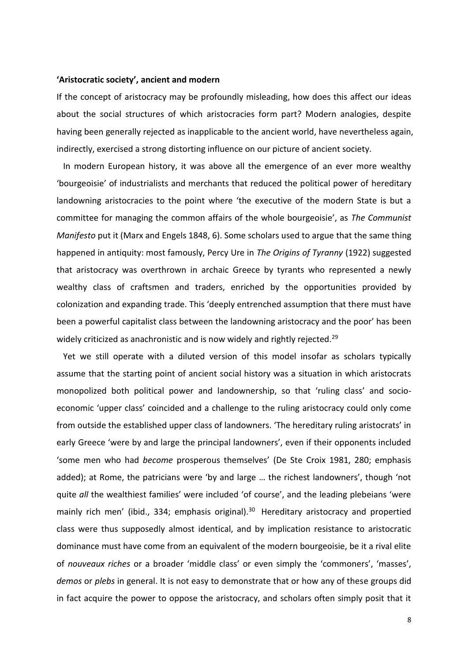#### **'Aristocratic society', ancient and modern**

If the concept of aristocracy may be profoundly misleading, how does this affect our ideas about the social structures of which aristocracies form part? Modern analogies, despite having been generally rejected as inapplicable to the ancient world, have nevertheless again, indirectly, exercised a strong distorting influence on our picture of ancient society.

 In modern European history, it was above all the emergence of an ever more wealthy 'bourgeoisie' of industrialists and merchants that reduced the political power of hereditary landowning aristocracies to the point where 'the executive of the modern State is but a committee for managing the common affairs of the whole bourgeoisie', as *The Communist Manifesto* put it (Marx and Engels 1848, 6). Some scholars used to argue that the same thing happened in antiquity: most famously, Percy Ure in *The Origins of Tyranny* (1922) suggested that aristocracy was overthrown in archaic Greece by tyrants who represented a newly wealthy class of craftsmen and traders, enriched by the opportunities provided by colonization and expanding trade. This 'deeply entrenched assumption that there must have been a powerful capitalist class between the landowning aristocracy and the poor' has been widely criticized as anachronistic and is now widely and rightly rejected.<sup>29</sup>

 Yet we still operate with a diluted version of this model insofar as scholars typically assume that the starting point of ancient social history was a situation in which aristocrats monopolized both political power and landownership, so that 'ruling class' and socioeconomic 'upper class' coincided and a challenge to the ruling aristocracy could only come from outside the established upper class of landowners. 'The hereditary ruling aristocrats' in early Greece 'were by and large the principal landowners', even if their opponents included 'some men who had *become* prosperous themselves' (De Ste Croix 1981, 280; emphasis added); at Rome, the patricians were 'by and large … the richest landowners', though 'not quite *all* the wealthiest families' were included 'of course', and the leading plebeians 'were mainly rich men' (ibid., 334; emphasis original).<sup>30</sup> Hereditary aristocracy and propertied class were thus supposedly almost identical, and by implication resistance to aristocratic dominance must have come from an equivalent of the modern bourgeoisie, be it a rival elite of *nouveaux riches* or a broader 'middle class' or even simply the 'commoners', 'masses', *demos* or *plebs* in general. It is not easy to demonstrate that or how any of these groups did in fact acquire the power to oppose the aristocracy, and scholars often simply posit that it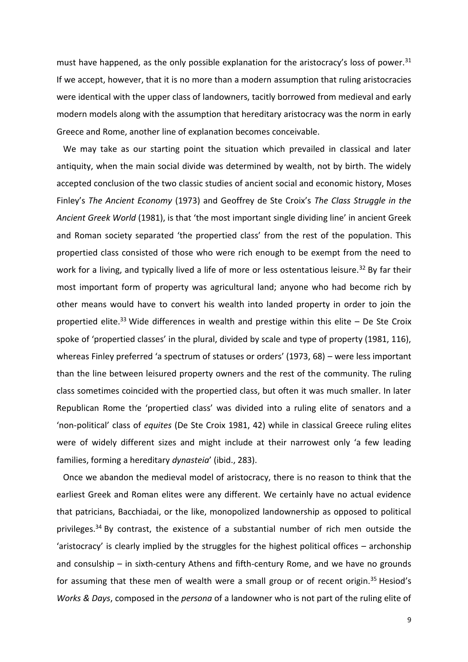must have happened, as the only possible explanation for the aristocracy's loss of power.<sup>31</sup> If we accept, however, that it is no more than a modern assumption that ruling aristocracies were identical with the upper class of landowners, tacitly borrowed from medieval and early modern models along with the assumption that hereditary aristocracy was the norm in early Greece and Rome, another line of explanation becomes conceivable.

 We may take as our starting point the situation which prevailed in classical and later antiquity, when the main social divide was determined by wealth, not by birth. The widely accepted conclusion of the two classic studies of ancient social and economic history, Moses Finley's *The Ancient Economy* (1973) and Geoffrey de Ste Croix's *The Class Struggle in the Ancient Greek World* (1981), is that 'the most important single dividing line' in ancient Greek and Roman society separated 'the propertied class' from the rest of the population. This propertied class consisted of those who were rich enough to be exempt from the need to work for a living, and typically lived a life of more or less ostentatious leisure.<sup>32</sup> By far their most important form of property was agricultural land; anyone who had become rich by other means would have to convert his wealth into landed property in order to join the propertied elite.<sup>33</sup> Wide differences in wealth and prestige within this elite – De Ste Croix spoke of 'propertied classes' in the plural, divided by scale and type of property (1981, 116), whereas Finley preferred 'a spectrum of statuses or orders' (1973, 68) – were less important than the line between leisured property owners and the rest of the community. The ruling class sometimes coincided with the propertied class, but often it was much smaller. In later Republican Rome the 'propertied class' was divided into a ruling elite of senators and a 'non-political' class of *equites* (De Ste Croix 1981, 42) while in classical Greece ruling elites were of widely different sizes and might include at their narrowest only 'a few leading families, forming a hereditary *dynasteia*' (ibid., 283).

 Once we abandon the medieval model of aristocracy, there is no reason to think that the earliest Greek and Roman elites were any different. We certainly have no actual evidence that patricians, Bacchiadai, or the like, monopolized landownership as opposed to political privileges.<sup>34</sup> By contrast, the existence of a substantial number of rich men outside the 'aristocracy' is clearly implied by the struggles for the highest political offices – archonship and consulship – in sixth-century Athens and fifth-century Rome, and we have no grounds for assuming that these men of wealth were a small group or of recent origin.<sup>35</sup> Hesiod's *Works & Days*, composed in the *persona* of a landowner who is not part of the ruling elite of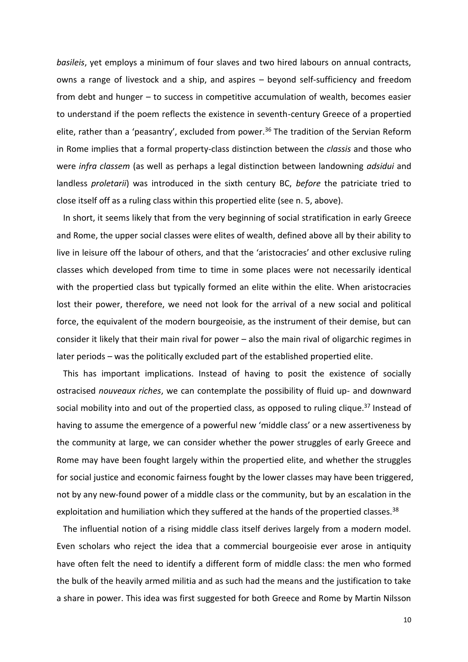*basileis*, yet employs a minimum of four slaves and two hired labours on annual contracts, owns a range of livestock and a ship, and aspires – beyond self-sufficiency and freedom from debt and hunger – to success in competitive accumulation of wealth, becomes easier to understand if the poem reflects the existence in seventh-century Greece of a propertied elite, rather than a 'peasantry', excluded from power.<sup>36</sup> The tradition of the Servian Reform in Rome implies that a formal property-class distinction between the *classis* and those who were *infra classem* (as well as perhaps a legal distinction between landowning *adsidui* and landless *proletarii*) was introduced in the sixth century BC, *before* the patriciate tried to close itself off as a ruling class within this propertied elite (see n. 5, above).

 In short, it seems likely that from the very beginning of social stratification in early Greece and Rome, the upper social classes were elites of wealth, defined above all by their ability to live in leisure off the labour of others, and that the 'aristocracies' and other exclusive ruling classes which developed from time to time in some places were not necessarily identical with the propertied class but typically formed an elite within the elite. When aristocracies lost their power, therefore, we need not look for the arrival of a new social and political force, the equivalent of the modern bourgeoisie, as the instrument of their demise, but can consider it likely that their main rival for power – also the main rival of oligarchic regimes in later periods – was the politically excluded part of the established propertied elite.

 This has important implications. Instead of having to posit the existence of socially ostracised *nouveaux riches*, we can contemplate the possibility of fluid up- and downward social mobility into and out of the propertied class, as opposed to ruling clique.<sup>37</sup> Instead of having to assume the emergence of a powerful new 'middle class' or a new assertiveness by the community at large, we can consider whether the power struggles of early Greece and Rome may have been fought largely within the propertied elite, and whether the struggles for social justice and economic fairness fought by the lower classes may have been triggered, not by any new-found power of a middle class or the community, but by an escalation in the exploitation and humiliation which they suffered at the hands of the propertied classes.<sup>38</sup>

 The influential notion of a rising middle class itself derives largely from a modern model. Even scholars who reject the idea that a commercial bourgeoisie ever arose in antiquity have often felt the need to identify a different form of middle class: the men who formed the bulk of the heavily armed militia and as such had the means and the justification to take a share in power. This idea was first suggested for both Greece and Rome by Martin Nilsson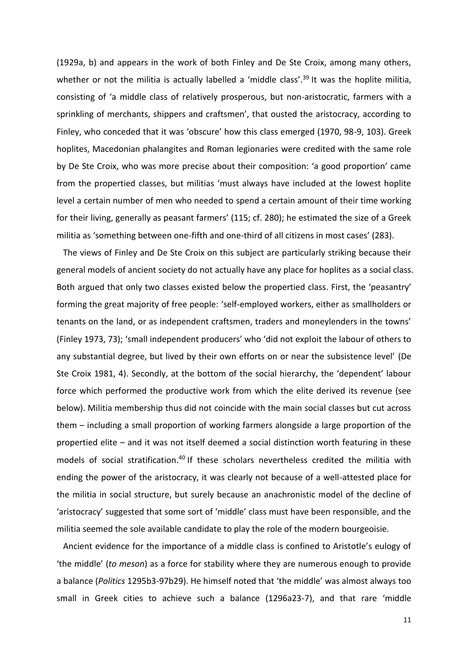(1929a, b) and appears in the work of both Finley and De Ste Croix, among many others, whether or not the militia is actually labelled a 'middle class'.<sup>39</sup> It was the hoplite militia, consisting of 'a middle class of relatively prosperous, but non-aristocratic, farmers with a sprinkling of merchants, shippers and craftsmen', that ousted the aristocracy, according to Finley, who conceded that it was 'obscure' how this class emerged (1970, 98-9, 103). Greek hoplites, Macedonian phalangites and Roman legionaries were credited with the same role by De Ste Croix, who was more precise about their composition: 'a good proportion' came from the propertied classes, but militias 'must always have included at the lowest hoplite level a certain number of men who needed to spend a certain amount of their time working for their living, generally as peasant farmers' (115; cf. 280); he estimated the size of a Greek militia as 'something between one-fifth and one-third of all citizens in most cases' (283).

 The views of Finley and De Ste Croix on this subject are particularly striking because their general models of ancient society do not actually have any place for hoplites as a social class. Both argued that only two classes existed below the propertied class. First, the 'peasantry' forming the great majority of free people: 'self-employed workers, either as smallholders or tenants on the land, or as independent craftsmen, traders and moneylenders in the towns' (Finley 1973, 73); 'small independent producers' who 'did not exploit the labour of others to any substantial degree, but lived by their own efforts on or near the subsistence level' (De Ste Croix 1981, 4). Secondly, at the bottom of the social hierarchy, the 'dependent' labour force which performed the productive work from which the elite derived its revenue (see below). Militia membership thus did not coincide with the main social classes but cut across them – including a small proportion of working farmers alongside a large proportion of the propertied elite – and it was not itself deemed a social distinction worth featuring in these models of social stratification.<sup>40</sup> If these scholars nevertheless credited the militia with ending the power of the aristocracy, it was clearly not because of a well-attested place for the militia in social structure, but surely because an anachronistic model of the decline of 'aristocracy' suggested that some sort of 'middle' class must have been responsible, and the militia seemed the sole available candidate to play the role of the modern bourgeoisie.

 Ancient evidence for the importance of a middle class is confined to Aristotle's eulogy of 'the middle' (*to meson*) as a force for stability where they are numerous enough to provide a balance (*Politics* 1295b3-97b29). He himself noted that 'the middle' was almost always too small in Greek cities to achieve such a balance (1296a23-7), and that rare 'middle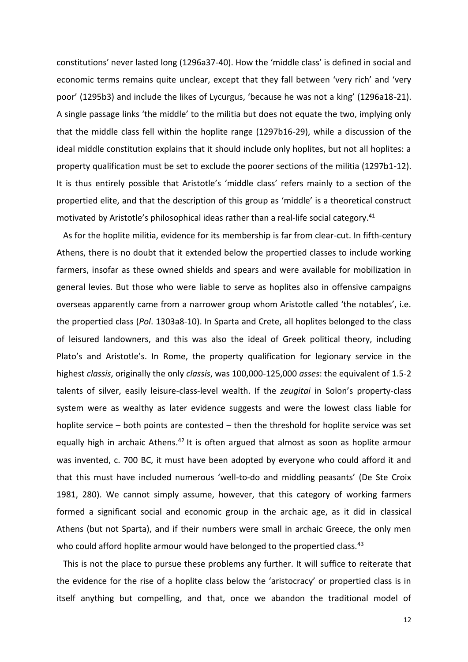constitutions' never lasted long (1296a37-40). How the 'middle class' is defined in social and economic terms remains quite unclear, except that they fall between 'very rich' and 'very poor' (1295b3) and include the likes of Lycurgus, 'because he was not a king' (1296a18-21). A single passage links 'the middle' to the militia but does not equate the two, implying only that the middle class fell within the hoplite range (1297b16-29), while a discussion of the ideal middle constitution explains that it should include only hoplites, but not all hoplites: a property qualification must be set to exclude the poorer sections of the militia (1297b1-12). It is thus entirely possible that Aristotle's 'middle class' refers mainly to a section of the propertied elite, and that the description of this group as 'middle' is a theoretical construct motivated by Aristotle's philosophical ideas rather than a real-life social category.<sup>41</sup>

 As for the hoplite militia, evidence for its membership is far from clear-cut. In fifth-century Athens, there is no doubt that it extended below the propertied classes to include working farmers, insofar as these owned shields and spears and were available for mobilization in general levies. But those who were liable to serve as hoplites also in offensive campaigns overseas apparently came from a narrower group whom Aristotle called 'the notables', i.e. the propertied class (*Pol*. 1303a8-10). In Sparta and Crete, all hoplites belonged to the class of leisured landowners, and this was also the ideal of Greek political theory, including Plato's and Aristotle's. In Rome, the property qualification for legionary service in the highest *classis*, originally the only *classis*, was 100,000-125,000 *asses*: the equivalent of 1.5-2 talents of silver, easily leisure-class-level wealth. If the *zeugitai* in Solon's property-class system were as wealthy as later evidence suggests and were the lowest class liable for hoplite service – both points are contested – then the threshold for hoplite service was set equally high in archaic Athens.<sup>42</sup> It is often argued that almost as soon as hoplite armour was invented, c. 700 BC, it must have been adopted by everyone who could afford it and that this must have included numerous 'well-to-do and middling peasants' (De Ste Croix 1981, 280). We cannot simply assume, however, that this category of working farmers formed a significant social and economic group in the archaic age, as it did in classical Athens (but not Sparta), and if their numbers were small in archaic Greece, the only men who could afford hoplite armour would have belonged to the propertied class. $43$ 

 This is not the place to pursue these problems any further. It will suffice to reiterate that the evidence for the rise of a hoplite class below the 'aristocracy' or propertied class is in itself anything but compelling, and that, once we abandon the traditional model of

12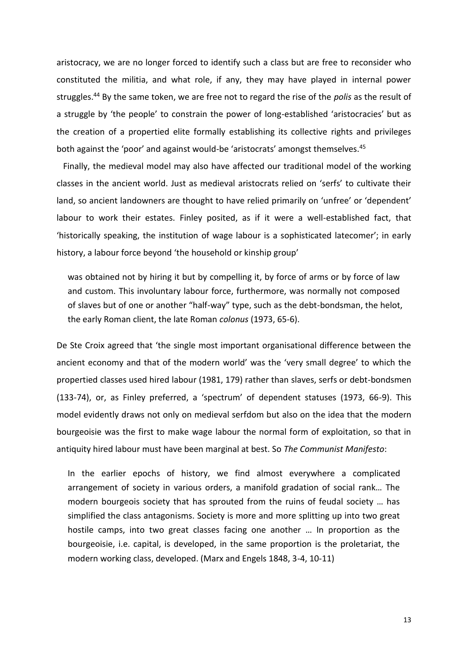aristocracy, we are no longer forced to identify such a class but are free to reconsider who constituted the militia, and what role, if any, they may have played in internal power struggles.<sup>44</sup> By the same token, we are free not to regard the rise of the *polis* as the result of a struggle by 'the people' to constrain the power of long-established 'aristocracies' but as the creation of a propertied elite formally establishing its collective rights and privileges both against the 'poor' and against would-be 'aristocrats' amongst themselves.<sup>45</sup>

 Finally, the medieval model may also have affected our traditional model of the working classes in the ancient world. Just as medieval aristocrats relied on 'serfs' to cultivate their land, so ancient landowners are thought to have relied primarily on 'unfree' or 'dependent' labour to work their estates. Finley posited, as if it were a well-established fact, that 'historically speaking, the institution of wage labour is a sophisticated latecomer'; in early history, a labour force beyond 'the household or kinship group'

was obtained not by hiring it but by compelling it, by force of arms or by force of law and custom. This involuntary labour force, furthermore, was normally not composed of slaves but of one or another "half-way" type, such as the debt-bondsman, the helot, the early Roman client, the late Roman *colonus* (1973, 65-6).

De Ste Croix agreed that 'the single most important organisational difference between the ancient economy and that of the modern world' was the 'very small degree' to which the propertied classes used hired labour (1981, 179) rather than slaves, serfs or debt-bondsmen (133-74), or, as Finley preferred, a 'spectrum' of dependent statuses (1973, 66-9). This model evidently draws not only on medieval serfdom but also on the idea that the modern bourgeoisie was the first to make wage labour the normal form of exploitation, so that in antiquity hired labour must have been marginal at best. So *The Communist Manifesto*:

In the earlier epochs of history, we find almost everywhere a complicated arrangement of society in various orders, a manifold gradation of social rank… The modern bourgeois society that has sprouted from the ruins of feudal society … has simplified the class antagonisms. Society is more and more splitting up into two great hostile camps, into two great classes facing one another … In proportion as the bourgeoisie, i.e. capital, is developed, in the same proportion is the proletariat, the modern working class, developed. (Marx and Engels 1848, 3-4, 10-11)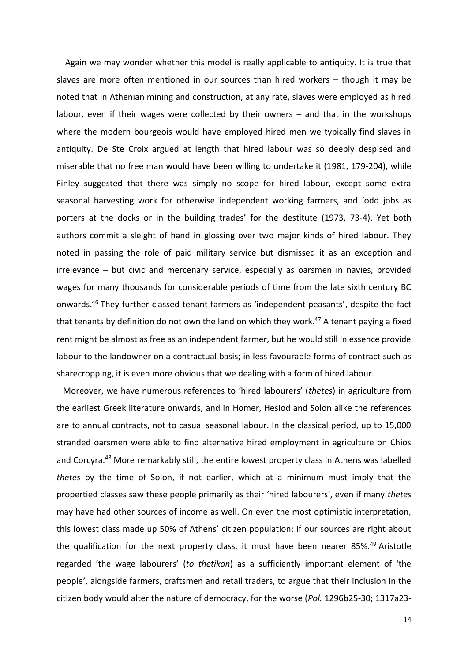Again we may wonder whether this model is really applicable to antiquity. It is true that slaves are more often mentioned in our sources than hired workers – though it may be noted that in Athenian mining and construction, at any rate, slaves were employed as hired labour, even if their wages were collected by their owners – and that in the workshops where the modern bourgeois would have employed hired men we typically find slaves in antiquity. De Ste Croix argued at length that hired labour was so deeply despised and miserable that no free man would have been willing to undertake it (1981, 179-204), while Finley suggested that there was simply no scope for hired labour, except some extra seasonal harvesting work for otherwise independent working farmers, and 'odd jobs as porters at the docks or in the building trades' for the destitute (1973, 73-4). Yet both authors commit a sleight of hand in glossing over two major kinds of hired labour. They noted in passing the role of paid military service but dismissed it as an exception and irrelevance – but civic and mercenary service, especially as oarsmen in navies, provided wages for many thousands for considerable periods of time from the late sixth century BC onwards.<sup>46</sup> They further classed tenant farmers as 'independent peasants', despite the fact that tenants by definition do not own the land on which they work.<sup>47</sup> A tenant paying a fixed rent might be almost as free as an independent farmer, but he would still in essence provide labour to the landowner on a contractual basis; in less favourable forms of contract such as sharecropping, it is even more obvious that we dealing with a form of hired labour.

 Moreover, we have numerous references to 'hired labourers' (*thetes*) in agriculture from the earliest Greek literature onwards, and in Homer, Hesiod and Solon alike the references are to annual contracts, not to casual seasonal labour. In the classical period, up to 15,000 stranded oarsmen were able to find alternative hired employment in agriculture on Chios and Corcyra.<sup>48</sup> More remarkably still, the entire lowest property class in Athens was labelled *thetes* by the time of Solon, if not earlier, which at a minimum must imply that the propertied classes saw these people primarily as their 'hired labourers', even if many *thetes* may have had other sources of income as well. On even the most optimistic interpretation, this lowest class made up 50% of Athens' citizen population; if our sources are right about the qualification for the next property class, it must have been nearer 85%.<sup>49</sup> Aristotle regarded 'the wage labourers' (*to thetikon*) as a sufficiently important element of 'the people', alongside farmers, craftsmen and retail traders, to argue that their inclusion in the citizen body would alter the nature of democracy, for the worse (*Pol.* 1296b25-30; 1317a23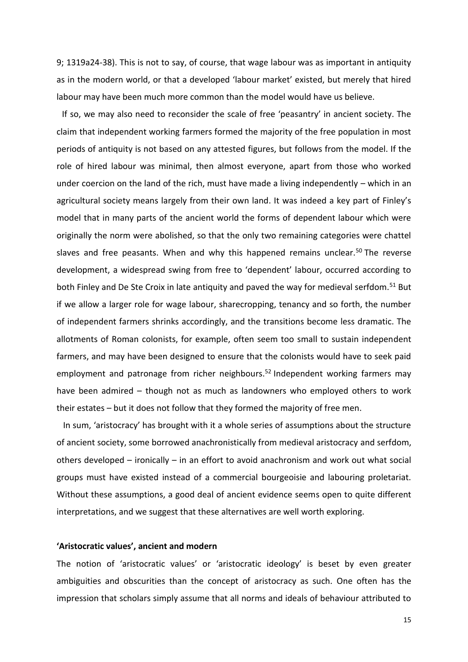9; 1319a24-38). This is not to say, of course, that wage labour was as important in antiquity as in the modern world, or that a developed 'labour market' existed, but merely that hired labour may have been much more common than the model would have us believe.

 If so, we may also need to reconsider the scale of free 'peasantry' in ancient society. The claim that independent working farmers formed the majority of the free population in most periods of antiquity is not based on any attested figures, but follows from the model. If the role of hired labour was minimal, then almost everyone, apart from those who worked under coercion on the land of the rich, must have made a living independently – which in an agricultural society means largely from their own land. It was indeed a key part of Finley's model that in many parts of the ancient world the forms of dependent labour which were originally the norm were abolished, so that the only two remaining categories were chattel slaves and free peasants. When and why this happened remains unclear.<sup>50</sup> The reverse development, a widespread swing from free to 'dependent' labour, occurred according to both Finley and De Ste Croix in late antiquity and paved the way for medieval serfdom.<sup>51</sup> But if we allow a larger role for wage labour, sharecropping, tenancy and so forth, the number of independent farmers shrinks accordingly, and the transitions become less dramatic. The allotments of Roman colonists, for example, often seem too small to sustain independent farmers, and may have been designed to ensure that the colonists would have to seek paid employment and patronage from richer neighbours.<sup>52</sup> Independent working farmers may have been admired – though not as much as landowners who employed others to work their estates – but it does not follow that they formed the majority of free men.

 In sum, 'aristocracy' has brought with it a whole series of assumptions about the structure of ancient society, some borrowed anachronistically from medieval aristocracy and serfdom, others developed – ironically – in an effort to avoid anachronism and work out what social groups must have existed instead of a commercial bourgeoisie and labouring proletariat. Without these assumptions, a good deal of ancient evidence seems open to quite different interpretations, and we suggest that these alternatives are well worth exploring.

## **'Aristocratic values', ancient and modern**

The notion of 'aristocratic values' or 'aristocratic ideology' is beset by even greater ambiguities and obscurities than the concept of aristocracy as such. One often has the impression that scholars simply assume that all norms and ideals of behaviour attributed to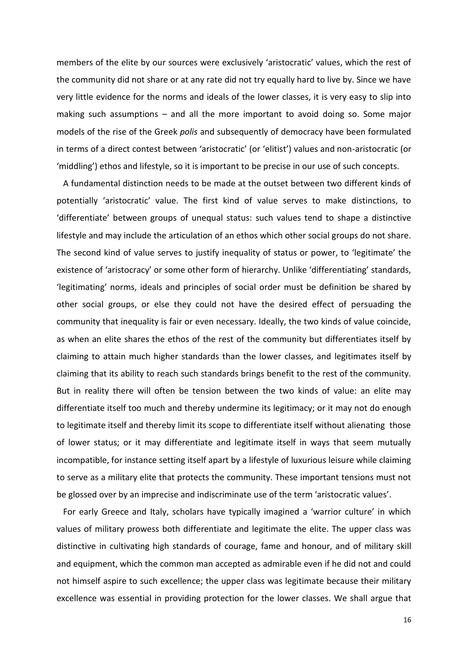members of the elite by our sources were exclusively 'aristocratic' values, which the rest of the community did not share or at any rate did not try equally hard to live by. Since we have very little evidence for the norms and ideals of the lower classes, it is very easy to slip into making such assumptions – and all the more important to avoid doing so. Some major models of the rise of the Greek *polis* and subsequently of democracy have been formulated in terms of a direct contest between 'aristocratic' (or 'elitist') values and non-aristocratic (or 'middling') ethos and lifestyle, so it is important to be precise in our use of such concepts.

 A fundamental distinction needs to be made at the outset between two different kinds of potentially 'aristocratic' value. The first kind of value serves to make distinctions, to 'differentiate' between groups of unequal status: such values tend to shape a distinctive lifestyle and may include the articulation of an ethos which other social groups do not share. The second kind of value serves to justify inequality of status or power, to 'legitimate' the existence of 'aristocracy' or some other form of hierarchy. Unlike 'differentiating' standards, 'legitimating' norms, ideals and principles of social order must be definition be shared by other social groups, or else they could not have the desired effect of persuading the community that inequality is fair or even necessary. Ideally, the two kinds of value coincide, as when an elite shares the ethos of the rest of the community but differentiates itself by claiming to attain much higher standards than the lower classes, and legitimates itself by claiming that its ability to reach such standards brings benefit to the rest of the community. But in reality there will often be tension between the two kinds of value: an elite may differentiate itself too much and thereby undermine its legitimacy; or it may not do enough to legitimate itself and thereby limit its scope to differentiate itself without alienating those of lower status; or it may differentiate and legitimate itself in ways that seem mutually incompatible, for instance setting itself apart by a lifestyle of luxurious leisure while claiming to serve as a military elite that protects the community. These important tensions must not be glossed over by an imprecise and indiscriminate use of the term 'aristocratic values'.

 For early Greece and Italy, scholars have typically imagined a 'warrior culture' in which values of military prowess both differentiate and legitimate the elite. The upper class was distinctive in cultivating high standards of courage, fame and honour, and of military skill and equipment, which the common man accepted as admirable even if he did not and could not himself aspire to such excellence; the upper class was legitimate because their military excellence was essential in providing protection for the lower classes. We shall argue that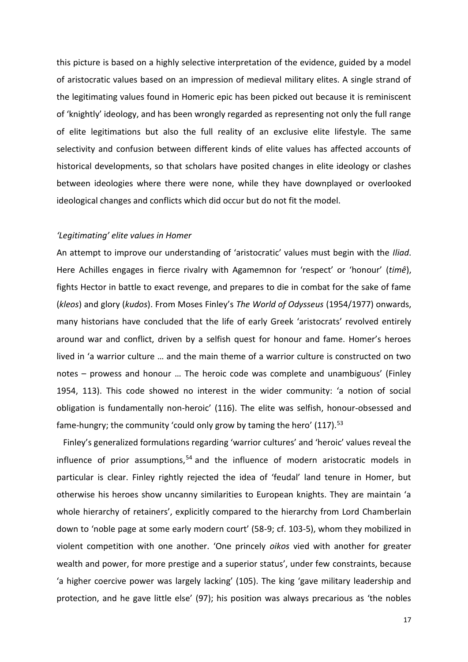this picture is based on a highly selective interpretation of the evidence, guided by a model of aristocratic values based on an impression of medieval military elites. A single strand of the legitimating values found in Homeric epic has been picked out because it is reminiscent of 'knightly' ideology, and has been wrongly regarded as representing not only the full range of elite legitimations but also the full reality of an exclusive elite lifestyle. The same selectivity and confusion between different kinds of elite values has affected accounts of historical developments, so that scholars have posited changes in elite ideology or clashes between ideologies where there were none, while they have downplayed or overlooked ideological changes and conflicts which did occur but do not fit the model.

#### *'Legitimating' elite values in Homer*

An attempt to improve our understanding of 'aristocratic' values must begin with the *Iliad*. Here Achilles engages in fierce rivalry with Agamemnon for 'respect' or 'honour' (*timê*), fights Hector in battle to exact revenge, and prepares to die in combat for the sake of fame (*kleos*) and glory (*kudos*). From Moses Finley's *The World of Odysseus* (1954/1977) onwards, many historians have concluded that the life of early Greek 'aristocrats' revolved entirely around war and conflict, driven by a selfish quest for honour and fame. Homer's heroes lived in 'a warrior culture … and the main theme of a warrior culture is constructed on two notes – prowess and honour … The heroic code was complete and unambiguous' (Finley 1954, 113). This code showed no interest in the wider community: 'a notion of social obligation is fundamentally non-heroic' (116). The elite was selfish, honour-obsessed and fame-hungry; the community 'could only grow by taming the hero' (117).<sup>53</sup>

 Finley's generalized formulations regarding 'warrior cultures' and 'heroic' values reveal the influence of prior assumptions, $54$  and the influence of modern aristocratic models in particular is clear. Finley rightly rejected the idea of 'feudal' land tenure in Homer, but otherwise his heroes show uncanny similarities to European knights. They are maintain 'a whole hierarchy of retainers', explicitly compared to the hierarchy from Lord Chamberlain down to 'noble page at some early modern court' (58-9; cf. 103-5), whom they mobilized in violent competition with one another. 'One princely *oikos* vied with another for greater wealth and power, for more prestige and a superior status', under few constraints, because 'a higher coercive power was largely lacking' (105). The king 'gave military leadership and protection, and he gave little else' (97); his position was always precarious as 'the nobles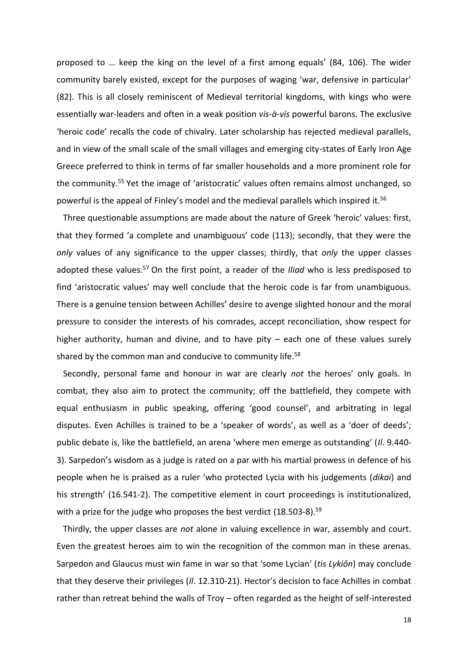proposed to … keep the king on the level of a first among equals' (84, 106). The wider community barely existed, except for the purposes of waging 'war, defensive in particular' (82). This is all closely reminiscent of Medieval territorial kingdoms, with kings who were essentially war-leaders and often in a weak position *vis-à-vis* powerful barons. The exclusive 'heroic code' recalls the code of chivalry. Later scholarship has rejected medieval parallels, and in view of the small scale of the small villages and emerging city-states of Early Iron Age Greece preferred to think in terms of far smaller households and a more prominent role for the community.<sup>55</sup> Yet the image of 'aristocratic' values often remains almost unchanged, so powerful is the appeal of Finley's model and the medieval parallels which inspired it.<sup>56</sup>

 Three questionable assumptions are made about the nature of Greek 'heroic' values: first, that they formed 'a complete and unambiguous' code (113); secondly, that they were the *only* values of any significance to the upper classes; thirdly, that *only* the upper classes adopted these values.<sup>57</sup> On the first point, a reader of the *Iliad* who is less predisposed to find 'aristocratic values' may well conclude that the heroic code is far from unambiguous. There is a genuine tension between Achilles' desire to avenge slighted honour and the moral pressure to consider the interests of his comrades, accept reconciliation, show respect for higher authority, human and divine, and to have pity – each one of these values surely shared by the common man and conducive to community life.<sup>58</sup>

 Secondly, personal fame and honour in war are clearly *not* the heroes' only goals. In combat, they also aim to protect the community; off the battlefield, they compete with equal enthusiasm in public speaking, offering 'good counsel', and arbitrating in legal disputes. Even Achilles is trained to be a 'speaker of words', as well as a 'doer of deeds'; public debate is, like the battlefield, an arena 'where men emerge as outstanding' (*Il*. 9.440- 3). Sarpedon's wisdom as a judge is rated on a par with his martial prowess in defence of his people when he is praised as a ruler 'who protected Lycia with his judgements (*dikai*) and his strength' (16.541-2). The competitive element in court proceedings is institutionalized, with a prize for the judge who proposes the best verdict (18.503-8).<sup>59</sup>

 Thirdly, the upper classes are *not* alone in valuing excellence in war, assembly and court. Even the greatest heroes aim to win the recognition of the common man in these arenas. Sarpedon and Glaucus must win fame in war so that 'some Lycian' (*tis Lykiôn*) may conclude that they deserve their privileges (*Il*. 12.310-21). Hector's decision to face Achilles in combat rather than retreat behind the walls of Troy – often regarded as the height of self-interested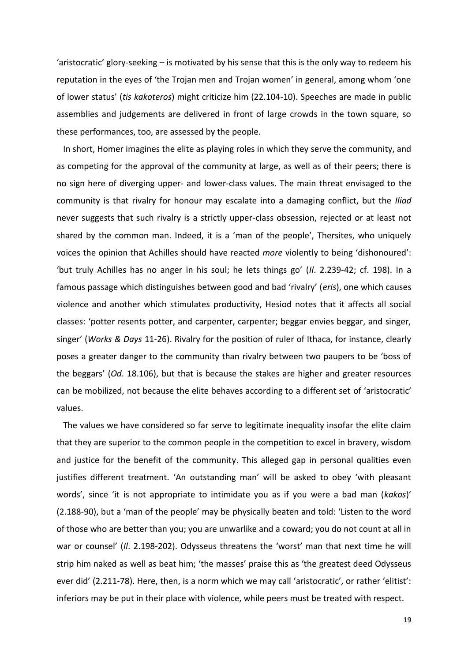'aristocratic' glory-seeking – is motivated by his sense that this is the only way to redeem his reputation in the eyes of 'the Trojan men and Trojan women' in general, among whom 'one of lower status' (*tis kakoteros*) might criticize him (22.104-10). Speeches are made in public assemblies and judgements are delivered in front of large crowds in the town square, so these performances, too, are assessed by the people.

 In short, Homer imagines the elite as playing roles in which they serve the community, and as competing for the approval of the community at large, as well as of their peers; there is no sign here of diverging upper- and lower-class values. The main threat envisaged to the community is that rivalry for honour may escalate into a damaging conflict, but the *Iliad* never suggests that such rivalry is a strictly upper-class obsession, rejected or at least not shared by the common man. Indeed, it is a 'man of the people', Thersites, who uniquely voices the opinion that Achilles should have reacted *more* violently to being 'dishonoured': 'but truly Achilles has no anger in his soul; he lets things go' (*Il*. 2.239-42; cf. 198). In a famous passage which distinguishes between good and bad 'rivalry' (*eris*), one which causes violence and another which stimulates productivity, Hesiod notes that it affects all social classes: 'potter resents potter, and carpenter, carpenter; beggar envies beggar, and singer, singer' (*Works & Days* 11-26). Rivalry for the position of ruler of Ithaca, for instance, clearly poses a greater danger to the community than rivalry between two paupers to be 'boss of the beggars' (*Od*. 18.106), but that is because the stakes are higher and greater resources can be mobilized, not because the elite behaves according to a different set of 'aristocratic' values.

 The values we have considered so far serve to legitimate inequality insofar the elite claim that they are superior to the common people in the competition to excel in bravery, wisdom and justice for the benefit of the community. This alleged gap in personal qualities even justifies different treatment. 'An outstanding man' will be asked to obey 'with pleasant words', since 'it is not appropriate to intimidate you as if you were a bad man (*kakos*)' (2.188-90), but a 'man of the people' may be physically beaten and told: 'Listen to the word of those who are better than you; you are unwarlike and a coward; you do not count at all in war or counsel' (*Il*. 2.198-202). Odysseus threatens the 'worst' man that next time he will strip him naked as well as beat him; 'the masses' praise this as 'the greatest deed Odysseus ever did' (2.211-78). Here, then, is a norm which we may call 'aristocratic', or rather 'elitist': inferiors may be put in their place with violence, while peers must be treated with respect.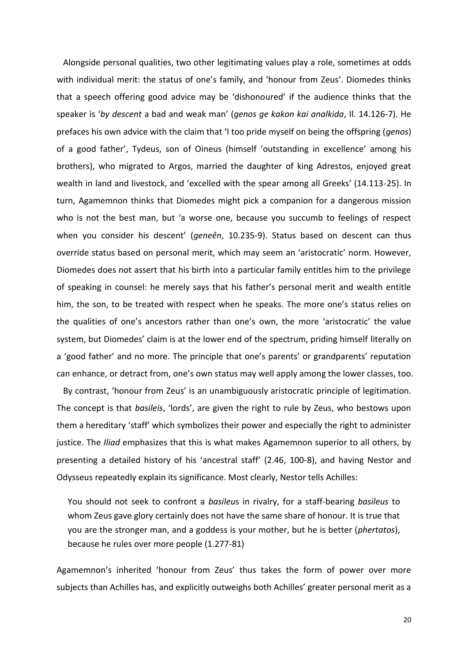Alongside personal qualities, two other legitimating values play a role, sometimes at odds with individual merit: the status of one's family, and 'honour from Zeus'. Diomedes thinks that a speech offering good advice may be 'dishonoured' if the audience thinks that the speaker is '*by descent* a bad and weak man' (*genos ge kakon kai analkida*, Il. 14.126-7). He prefaces his own advice with the claim that 'I too pride myself on being the offspring (*genos*) of a good father', Tydeus, son of Oineus (himself 'outstanding in excellence' among his brothers), who migrated to Argos, married the daughter of king Adrestos, enjoyed great wealth in land and livestock, and 'excelled with the spear among all Greeks' (14.113-25). In turn, Agamemnon thinks that Diomedes might pick a companion for a dangerous mission who is not the best man, but 'a worse one, because you succumb to feelings of respect when you consider his descent' (*geneên*, 10.235-9). Status based on descent can thus override status based on personal merit, which may seem an 'aristocratic' norm. However, Diomedes does not assert that his birth into a particular family entitles him to the privilege of speaking in counsel: he merely says that his father's personal merit and wealth entitle him, the son, to be treated with respect when he speaks. The more one's status relies on the qualities of one's ancestors rather than one's own, the more 'aristocratic' the value system, but Diomedes' claim is at the lower end of the spectrum, priding himself literally on a 'good father' and no more. The principle that one's parents' or grandparents' reputation can enhance, or detract from, one's own status may well apply among the lower classes, too.

 By contrast, 'honour from Zeus' is an unambiguously aristocratic principle of legitimation. The concept is that *basileis*, 'lords', are given the right to rule by Zeus, who bestows upon them a hereditary 'staff' which symbolizes their power and especially the right to administer justice. The *Iliad* emphasizes that this is what makes Agamemnon superior to all others, by presenting a detailed history of his 'ancestral staff' (2.46, 100-8), and having Nestor and Odysseus repeatedly explain its significance. Most clearly, Nestor tells Achilles:

You should not seek to confront a *basileu*s in rivalry, for a staff-bearing *basileus* to whom Zeus gave glory certainly does not have the same share of honour. It is true that you are the stronger man, and a goddess is your mother, but he is better (*phertatos*), because he rules over more people (1.277-81)

Agamemnon's inherited 'honour from Zeus' thus takes the form of power over more subjects than Achilles has, and explicitly outweighs both Achilles' greater personal merit as a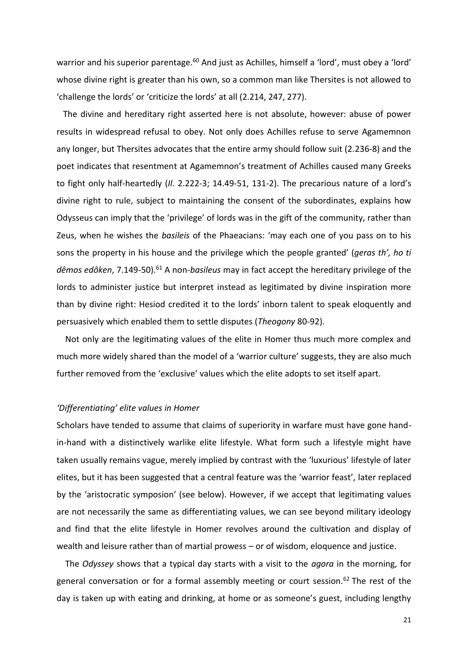warrior and his superior parentage.<sup>60</sup> And just as Achilles, himself a 'lord', must obey a 'lord' whose divine right is greater than his own, so a common man like Thersites is not allowed to 'challenge the lords' or 'criticize the lords' at all (2.214, 247, 277).

 The divine and hereditary right asserted here is not absolute, however: abuse of power results in widespread refusal to obey. Not only does Achilles refuse to serve Agamemnon any longer, but Thersites advocates that the entire army should follow suit (2.236-8) and the poet indicates that resentment at Agamemnon's treatment of Achilles caused many Greeks to fight only half-heartedly (*Il*. 2.222-3; 14.49-51, 131-2). The precarious nature of a lord's divine right to rule, subject to maintaining the consent of the subordinates, explains how Odysseus can imply that the 'privilege' of lords was in the gift of the community, rather than Zeus, when he wishes the *basileis* of the Phaeacians: 'may each one of you pass on to his sons the property in his house and the privilege which the people granted' (*geras th', ho ti dêmos edôken*, 7.149-50).<sup>61</sup> A non-*basileus* may in fact accept the hereditary privilege of the lords to administer justice but interpret instead as legitimated by divine inspiration more than by divine right: Hesiod credited it to the lords' inborn talent to speak eloquently and persuasively which enabled them to settle disputes (*Theogony* 80-92).

 Not only are the legitimating values of the elite in Homer thus much more complex and much more widely shared than the model of a 'warrior culture' suggests, they are also much further removed from the 'exclusive' values which the elite adopts to set itself apart.

#### *'Differentiating' elite values in Homer*

Scholars have tended to assume that claims of superiority in warfare must have gone handin-hand with a distinctively warlike elite lifestyle. What form such a lifestyle might have taken usually remains vague, merely implied by contrast with the 'luxurious' lifestyle of later elites, but it has been suggested that a central feature was the 'warrior feast', later replaced by the 'aristocratic symposion' (see below). However, if we accept that legitimating values are not necessarily the same as differentiating values, we can see beyond military ideology and find that the elite lifestyle in Homer revolves around the cultivation and display of wealth and leisure rather than of martial prowess – or of wisdom, eloquence and justice.

 The *Odyssey* shows that a typical day starts with a visit to the *agora* in the morning, for general conversation or for a formal assembly meeting or court session.<sup>62</sup> The rest of the day is taken up with eating and drinking, at home or as someone's guest, including lengthy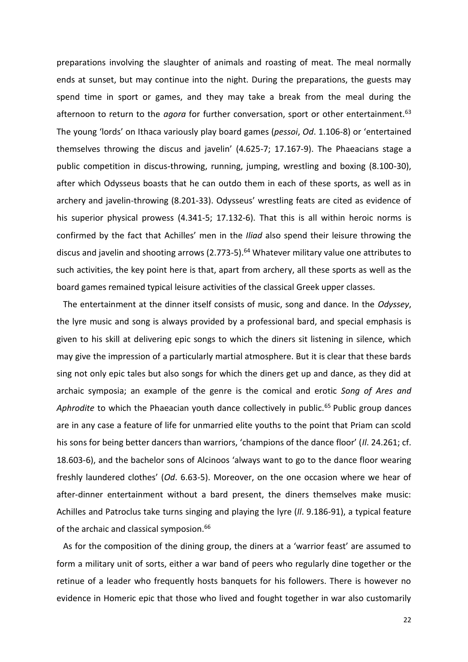preparations involving the slaughter of animals and roasting of meat. The meal normally ends at sunset, but may continue into the night. During the preparations, the guests may spend time in sport or games, and they may take a break from the meal during the afternoon to return to the *agora* for further conversation, sport or other entertainment.<sup>63</sup> The young 'lords' on Ithaca variously play board games (*pessoi*, *Od*. 1.106-8) or 'entertained themselves throwing the discus and javelin' (4.625-7; 17.167-9). The Phaeacians stage a public competition in discus-throwing, running, jumping, wrestling and boxing (8.100-30), after which Odysseus boasts that he can outdo them in each of these sports, as well as in archery and javelin-throwing (8.201-33). Odysseus' wrestling feats are cited as evidence of his superior physical prowess (4.341-5; 17.132-6). That this is all within heroic norms is confirmed by the fact that Achilles' men in the *Iliad* also spend their leisure throwing the discus and javelin and shooting arrows (2.773-5).<sup>64</sup> Whatever military value one attributes to such activities, the key point here is that, apart from archery, all these sports as well as the board games remained typical leisure activities of the classical Greek upper classes.

 The entertainment at the dinner itself consists of music, song and dance. In the *Odyssey*, the lyre music and song is always provided by a professional bard, and special emphasis is given to his skill at delivering epic songs to which the diners sit listening in silence, which may give the impression of a particularly martial atmosphere. But it is clear that these bards sing not only epic tales but also songs for which the diners get up and dance, as they did at archaic symposia; an example of the genre is the comical and erotic *Song of Ares and*  Aphrodite to which the Phaeacian youth dance collectively in public.<sup>65</sup> Public group dances are in any case a feature of life for unmarried elite youths to the point that Priam can scold his sons for being better dancers than warriors, 'champions of the dance floor' (*Il*. 24.261; cf. 18.603-6), and the bachelor sons of Alcinoos 'always want to go to the dance floor wearing freshly laundered clothes' (*Od*. 6.63-5). Moreover, on the one occasion where we hear of after-dinner entertainment without a bard present, the diners themselves make music: Achilles and Patroclus take turns singing and playing the lyre (*Il*. 9.186-91), a typical feature of the archaic and classical symposion.<sup>66</sup>

 As for the composition of the dining group, the diners at a 'warrior feast' are assumed to form a military unit of sorts, either a war band of peers who regularly dine together or the retinue of a leader who frequently hosts banquets for his followers. There is however no evidence in Homeric epic that those who lived and fought together in war also customarily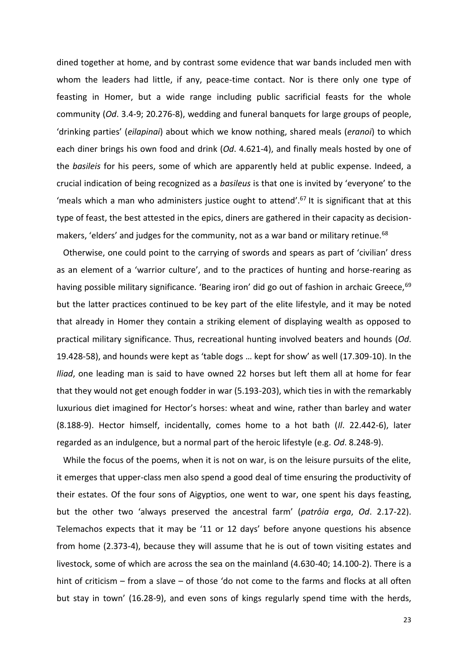dined together at home, and by contrast some evidence that war bands included men with whom the leaders had little, if any, peace-time contact. Nor is there only one type of feasting in Homer, but a wide range including public sacrificial feasts for the whole community (*Od*. 3.4-9; 20.276-8), wedding and funeral banquets for large groups of people, 'drinking parties' (*eilapinai*) about which we know nothing, shared meals (*eranoi*) to which each diner brings his own food and drink (*Od*. 4.621-4), and finally meals hosted by one of the *basileis* for his peers, some of which are apparently held at public expense. Indeed, a crucial indication of being recognized as a *basileus* is that one is invited by 'everyone' to the 'meals which a man who administers justice ought to attend'.<sup>67</sup> It is significant that at this type of feast, the best attested in the epics, diners are gathered in their capacity as decisionmakers, 'elders' and judges for the community, not as a war band or military retinue.<sup>68</sup>

 Otherwise, one could point to the carrying of swords and spears as part of 'civilian' dress as an element of a 'warrior culture', and to the practices of hunting and horse-rearing as having possible military significance. 'Bearing iron' did go out of fashion in archaic Greece, <sup>69</sup> but the latter practices continued to be key part of the elite lifestyle, and it may be noted that already in Homer they contain a striking element of displaying wealth as opposed to practical military significance. Thus, recreational hunting involved beaters and hounds (*Od*. 19.428-58), and hounds were kept as 'table dogs … kept for show' as well (17.309-10). In the *Iliad*, one leading man is said to have owned 22 horses but left them all at home for fear that they would not get enough fodder in war (5.193-203), which ties in with the remarkably luxurious diet imagined for Hector's horses: wheat and wine, rather than barley and water (8.188-9). Hector himself, incidentally, comes home to a hot bath (*Il*. 22.442-6), later regarded as an indulgence, but a normal part of the heroic lifestyle (e.g. *Od*. 8.248-9).

 While the focus of the poems, when it is not on war, is on the leisure pursuits of the elite, it emerges that upper-class men also spend a good deal of time ensuring the productivity of their estates. Of the four sons of Aigyptios, one went to war, one spent his days feasting, but the other two 'always preserved the ancestral farm' (*patrôia erga*, *Od*. 2.17-22). Telemachos expects that it may be '11 or 12 days' before anyone questions his absence from home (2.373-4), because they will assume that he is out of town visiting estates and livestock, some of which are across the sea on the mainland (4.630-40; 14.100-2). There is a hint of criticism – from a slave – of those 'do not come to the farms and flocks at all often but stay in town' (16.28-9), and even sons of kings regularly spend time with the herds,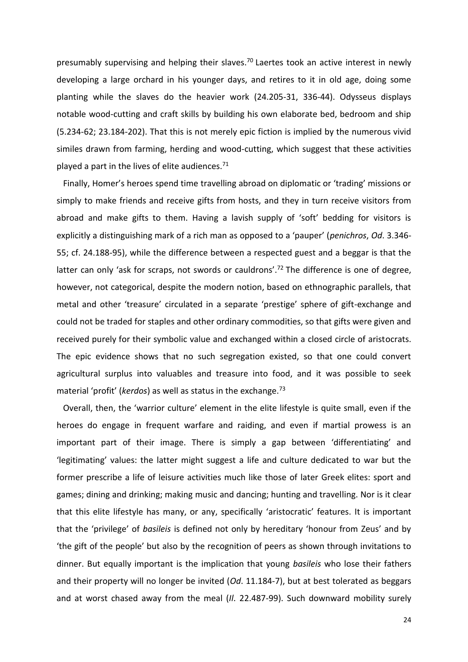presumably supervising and helping their slaves.<sup>70</sup> Laertes took an active interest in newly developing a large orchard in his younger days, and retires to it in old age, doing some planting while the slaves do the heavier work (24.205-31, 336-44). Odysseus displays notable wood-cutting and craft skills by building his own elaborate bed, bedroom and ship (5.234-62; 23.184-202). That this is not merely epic fiction is implied by the numerous vivid similes drawn from farming, herding and wood-cutting, which suggest that these activities played a part in the lives of elite audiences. $71$ 

 Finally, Homer's heroes spend time travelling abroad on diplomatic or 'trading' missions or simply to make friends and receive gifts from hosts, and they in turn receive visitors from abroad and make gifts to them. Having a lavish supply of 'soft' bedding for visitors is explicitly a distinguishing mark of a rich man as opposed to a 'pauper' (*penichros*, *Od*. 3.346- 55; cf. 24.188-95), while the difference between a respected guest and a beggar is that the latter can only 'ask for scraps, not swords or cauldrons'.<sup>72</sup> The difference is one of degree, however, not categorical, despite the modern notion, based on ethnographic parallels, that metal and other 'treasure' circulated in a separate 'prestige' sphere of gift-exchange and could not be traded for staples and other ordinary commodities, so that gifts were given and received purely for their symbolic value and exchanged within a closed circle of aristocrats. The epic evidence shows that no such segregation existed, so that one could convert agricultural surplus into valuables and treasure into food, and it was possible to seek material 'profit' (*kerdos*) as well as status in the exchange.<sup>73</sup>

 Overall, then, the 'warrior culture' element in the elite lifestyle is quite small, even if the heroes do engage in frequent warfare and raiding, and even if martial prowess is an important part of their image. There is simply a gap between 'differentiating' and 'legitimating' values: the latter might suggest a life and culture dedicated to war but the former prescribe a life of leisure activities much like those of later Greek elites: sport and games; dining and drinking; making music and dancing; hunting and travelling. Nor is it clear that this elite lifestyle has many, or any, specifically 'aristocratic' features. It is important that the 'privilege' of *basileis* is defined not only by hereditary 'honour from Zeus' and by 'the gift of the people' but also by the recognition of peers as shown through invitations to dinner. But equally important is the implication that young *basileis* who lose their fathers and their property will no longer be invited (*Od*. 11.184-7), but at best tolerated as beggars and at worst chased away from the meal (*Il*. 22.487-99). Such downward mobility surely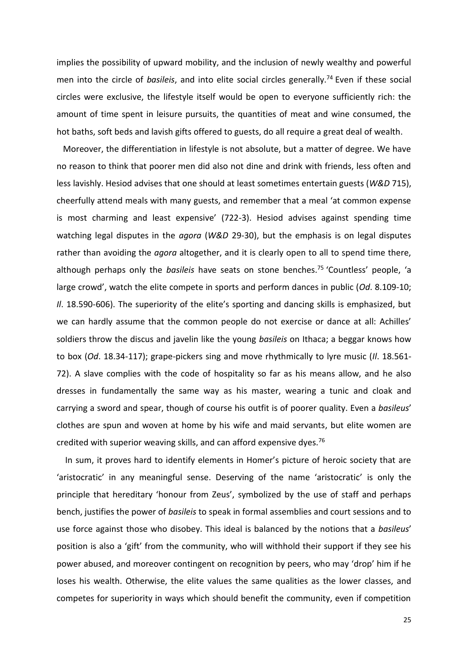implies the possibility of upward mobility, and the inclusion of newly wealthy and powerful men into the circle of *basileis*, and into elite social circles generally.<sup>74</sup> Even if these social circles were exclusive, the lifestyle itself would be open to everyone sufficiently rich: the amount of time spent in leisure pursuits, the quantities of meat and wine consumed, the hot baths, soft beds and lavish gifts offered to guests, do all require a great deal of wealth.

 Moreover, the differentiation in lifestyle is not absolute, but a matter of degree. We have no reason to think that poorer men did also not dine and drink with friends, less often and less lavishly. Hesiod advises that one should at least sometimes entertain guests (*W&D* 715), cheerfully attend meals with many guests, and remember that a meal 'at common expense is most charming and least expensive' (722-3). Hesiod advises against spending time watching legal disputes in the *agora* (*W&D* 29-30), but the emphasis is on legal disputes rather than avoiding the *agora* altogether, and it is clearly open to all to spend time there, although perhaps only the *basileis* have seats on stone benches.<sup>75</sup> 'Countless' people, 'a large crowd', watch the elite compete in sports and perform dances in public (*Od*. 8.109-10; *Il*. 18.590-606). The superiority of the elite's sporting and dancing skills is emphasized, but we can hardly assume that the common people do not exercise or dance at all: Achilles' soldiers throw the discus and javelin like the young *basileis* on Ithaca; a beggar knows how to box (*Od*. 18.34-117); grape-pickers sing and move rhythmically to lyre music (*Il*. 18.561- 72). A slave complies with the code of hospitality so far as his means allow, and he also dresses in fundamentally the same way as his master, wearing a tunic and cloak and carrying a sword and spear, though of course his outfit is of poorer quality. Even a *basileus*' clothes are spun and woven at home by his wife and maid servants, but elite women are credited with superior weaving skills, and can afford expensive dyes.<sup>76</sup>

 In sum, it proves hard to identify elements in Homer's picture of heroic society that are 'aristocratic' in any meaningful sense. Deserving of the name 'aristocratic' is only the principle that hereditary 'honour from Zeus', symbolized by the use of staff and perhaps bench, justifies the power of *basileis* to speak in formal assemblies and court sessions and to use force against those who disobey. This ideal is balanced by the notions that a *basileus*' position is also a 'gift' from the community, who will withhold their support if they see his power abused, and moreover contingent on recognition by peers, who may 'drop' him if he loses his wealth. Otherwise, the elite values the same qualities as the lower classes, and competes for superiority in ways which should benefit the community, even if competition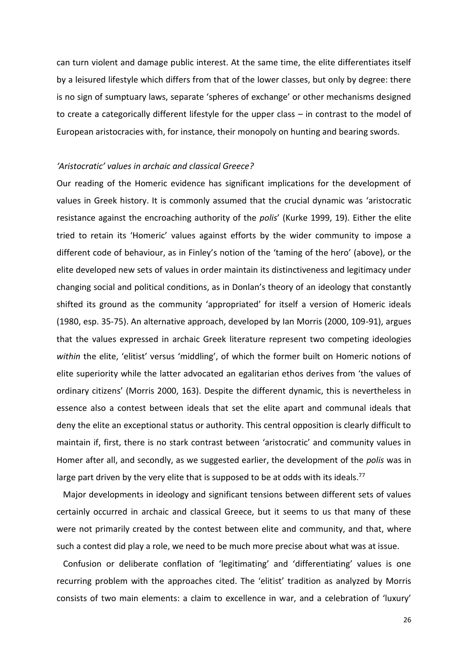can turn violent and damage public interest. At the same time, the elite differentiates itself by a leisured lifestyle which differs from that of the lower classes, but only by degree: there is no sign of sumptuary laws, separate 'spheres of exchange' or other mechanisms designed to create a categorically different lifestyle for the upper class – in contrast to the model of European aristocracies with, for instance, their monopoly on hunting and bearing swords.

## *'Aristocratic' values in archaic and classical Greece?*

Our reading of the Homeric evidence has significant implications for the development of values in Greek history. It is commonly assumed that the crucial dynamic was 'aristocratic resistance against the encroaching authority of the *polis*' (Kurke 1999, 19). Either the elite tried to retain its 'Homeric' values against efforts by the wider community to impose a different code of behaviour, as in Finley's notion of the 'taming of the hero' (above), or the elite developed new sets of values in order maintain its distinctiveness and legitimacy under changing social and political conditions, as in Donlan's theory of an ideology that constantly shifted its ground as the community 'appropriated' for itself a version of Homeric ideals (1980, esp. 35-75). An alternative approach, developed by Ian Morris (2000, 109-91), argues that the values expressed in archaic Greek literature represent two competing ideologies *within* the elite, 'elitist' versus 'middling', of which the former built on Homeric notions of elite superiority while the latter advocated an egalitarian ethos derives from 'the values of ordinary citizens' (Morris 2000, 163). Despite the different dynamic, this is nevertheless in essence also a contest between ideals that set the elite apart and communal ideals that deny the elite an exceptional status or authority. This central opposition is clearly difficult to maintain if, first, there is no stark contrast between 'aristocratic' and community values in Homer after all, and secondly, as we suggested earlier, the development of the *polis* was in large part driven by the very elite that is supposed to be at odds with its ideals.<sup>77</sup>

 Major developments in ideology and significant tensions between different sets of values certainly occurred in archaic and classical Greece, but it seems to us that many of these were not primarily created by the contest between elite and community, and that, where such a contest did play a role, we need to be much more precise about what was at issue.

 Confusion or deliberate conflation of 'legitimating' and 'differentiating' values is one recurring problem with the approaches cited. The 'elitist' tradition as analyzed by Morris consists of two main elements: a claim to excellence in war, and a celebration of 'luxury'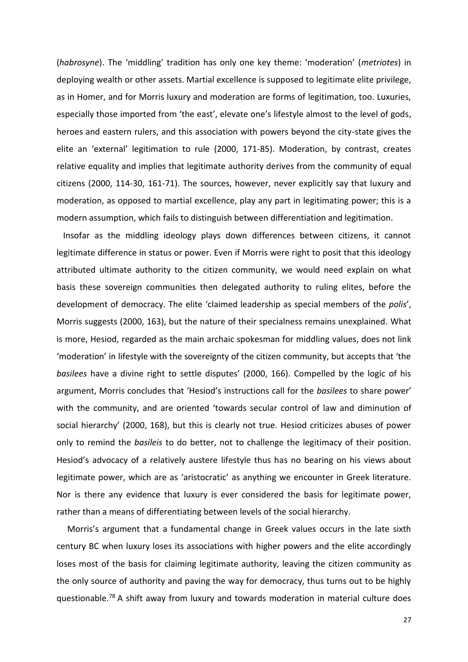(*habrosyne*). The 'middling' tradition has only one key theme: 'moderation' (*metriotes*) in deploying wealth or other assets. Martial excellence is supposed to legitimate elite privilege, as in Homer, and for Morris luxury and moderation are forms of legitimation, too. Luxuries, especially those imported from 'the east', elevate one's lifestyle almost to the level of gods, heroes and eastern rulers, and this association with powers beyond the city-state gives the elite an 'external' legitimation to rule (2000, 171-85). Moderation, by contrast, creates relative equality and implies that legitimate authority derives from the community of equal citizens (2000, 114-30, 161-71). The sources, however, never explicitly say that luxury and moderation, as opposed to martial excellence, play any part in legitimating power; this is a modern assumption, which fails to distinguish between differentiation and legitimation.

 Insofar as the middling ideology plays down differences between citizens, it cannot legitimate difference in status or power. Even if Morris were right to posit that this ideology attributed ultimate authority to the citizen community, we would need explain on what basis these sovereign communities then delegated authority to ruling elites, before the development of democracy. The elite 'claimed leadership as special members of the *polis*', Morris suggests (2000, 163), but the nature of their specialness remains unexplained. What is more, Hesiod, regarded as the main archaic spokesman for middling values, does not link 'moderation' in lifestyle with the sovereignty of the citizen community, but accepts that 'the *basilees* have a divine right to settle disputes' (2000, 166). Compelled by the logic of his argument, Morris concludes that 'Hesiod's instructions call for the *basilees* to share power' with the community, and are oriented 'towards secular control of law and diminution of social hierarchy' (2000, 168), but this is clearly not true. Hesiod criticizes abuses of power only to remind the *basileis* to do better, not to challenge the legitimacy of their position. Hesiod's advocacy of a relatively austere lifestyle thus has no bearing on his views about legitimate power, which are as 'aristocratic' as anything we encounter in Greek literature. Nor is there any evidence that luxury is ever considered the basis for legitimate power, rather than a means of differentiating between levels of the social hierarchy.

 Morris's argument that a fundamental change in Greek values occurs in the late sixth century BC when luxury loses its associations with higher powers and the elite accordingly loses most of the basis for claiming legitimate authority, leaving the citizen community as the only source of authority and paving the way for democracy, thus turns out to be highly questionable.<sup>78</sup> A shift away from luxury and towards moderation in material culture does

27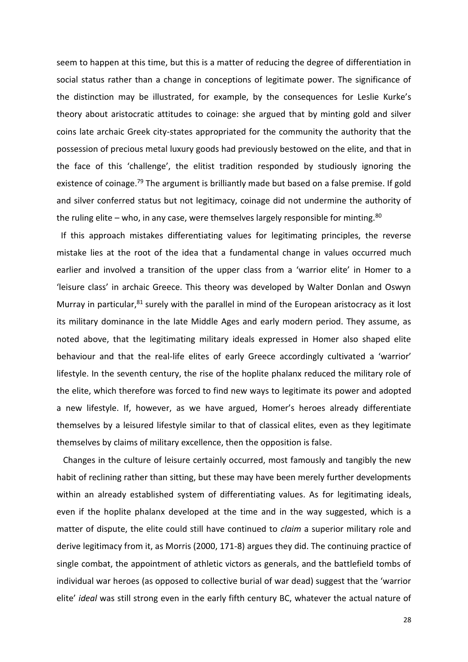seem to happen at this time, but this is a matter of reducing the degree of differentiation in social status rather than a change in conceptions of legitimate power. The significance of the distinction may be illustrated, for example, by the consequences for Leslie Kurke's theory about aristocratic attitudes to coinage: she argued that by minting gold and silver coins late archaic Greek city-states appropriated for the community the authority that the possession of precious metal luxury goods had previously bestowed on the elite, and that in the face of this 'challenge', the elitist tradition responded by studiously ignoring the existence of coinage.<sup>79</sup> The argument is brilliantly made but based on a false premise. If gold and silver conferred status but not legitimacy, coinage did not undermine the authority of the ruling elite – who, in any case, were themselves largely responsible for minting.<sup>80</sup>

 If this approach mistakes differentiating values for legitimating principles, the reverse mistake lies at the root of the idea that a fundamental change in values occurred much earlier and involved a transition of the upper class from a 'warrior elite' in Homer to a 'leisure class' in archaic Greece. This theory was developed by Walter Donlan and Oswyn Murray in particular, 81 surely with the parallel in mind of the European aristocracy as it lost its military dominance in the late Middle Ages and early modern period. They assume, as noted above, that the legitimating military ideals expressed in Homer also shaped elite behaviour and that the real-life elites of early Greece accordingly cultivated a 'warrior' lifestyle. In the seventh century, the rise of the hoplite phalanx reduced the military role of the elite, which therefore was forced to find new ways to legitimate its power and adopted a new lifestyle. If, however, as we have argued, Homer's heroes already differentiate themselves by a leisured lifestyle similar to that of classical elites, even as they legitimate themselves by claims of military excellence, then the opposition is false.

 Changes in the culture of leisure certainly occurred, most famously and tangibly the new habit of reclining rather than sitting, but these may have been merely further developments within an already established system of differentiating values. As for legitimating ideals, even if the hoplite phalanx developed at the time and in the way suggested, which is a matter of dispute, the elite could still have continued to *claim* a superior military role and derive legitimacy from it, as Morris (2000, 171-8) argues they did. The continuing practice of single combat, the appointment of athletic victors as generals, and the battlefield tombs of individual war heroes (as opposed to collective burial of war dead) suggest that the 'warrior elite' *ideal* was still strong even in the early fifth century BC, whatever the actual nature of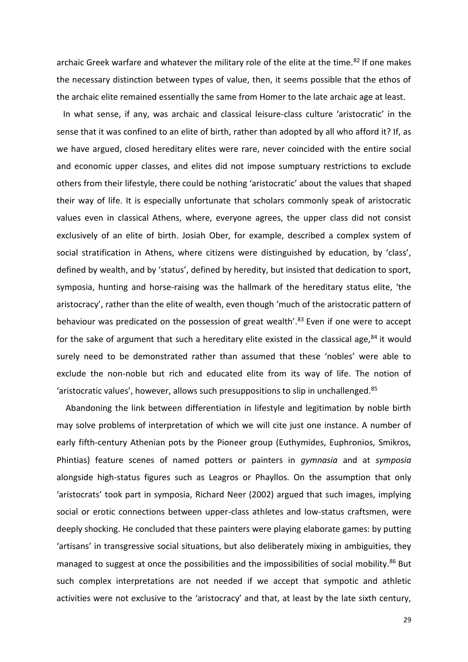archaic Greek warfare and whatever the military role of the elite at the time.<sup>82</sup> If one makes the necessary distinction between types of value, then, it seems possible that the ethos of the archaic elite remained essentially the same from Homer to the late archaic age at least.

 In what sense, if any, was archaic and classical leisure-class culture 'aristocratic' in the sense that it was confined to an elite of birth, rather than adopted by all who afford it? If, as we have argued, closed hereditary elites were rare, never coincided with the entire social and economic upper classes, and elites did not impose sumptuary restrictions to exclude others from their lifestyle, there could be nothing 'aristocratic' about the values that shaped their way of life. It is especially unfortunate that scholars commonly speak of aristocratic values even in classical Athens, where, everyone agrees, the upper class did not consist exclusively of an elite of birth. Josiah Ober, for example, described a complex system of social stratification in Athens, where citizens were distinguished by education, by 'class', defined by wealth, and by 'status', defined by heredity, but insisted that dedication to sport, symposia, hunting and horse-raising was the hallmark of the hereditary status elite, 'the aristocracy', rather than the elite of wealth, even though 'much of the aristocratic pattern of behaviour was predicated on the possession of great wealth'.<sup>83</sup> Even if one were to accept for the sake of argument that such a hereditary elite existed in the classical age, $84$  it would surely need to be demonstrated rather than assumed that these 'nobles' were able to exclude the non-noble but rich and educated elite from its way of life. The notion of 'aristocratic values', however, allows such presuppositions to slip in unchallenged.<sup>85</sup>

 Abandoning the link between differentiation in lifestyle and legitimation by noble birth may solve problems of interpretation of which we will cite just one instance. A number of early fifth-century Athenian pots by the Pioneer group (Euthymides, Euphronios, Smikros, Phintias) feature scenes of named potters or painters in *gymnasia* and at *symposia* alongside high-status figures such as Leagros or Phayllos. On the assumption that only 'aristocrats' took part in symposia, Richard Neer (2002) argued that such images, implying social or erotic connections between upper-class athletes and low-status craftsmen, were deeply shocking. He concluded that these painters were playing elaborate games: by putting 'artisans' in transgressive social situations, but also deliberately mixing in ambiguities, they managed to suggest at once the possibilities and the impossibilities of social mobility.<sup>86</sup> But such complex interpretations are not needed if we accept that sympotic and athletic activities were not exclusive to the 'aristocracy' and that, at least by the late sixth century,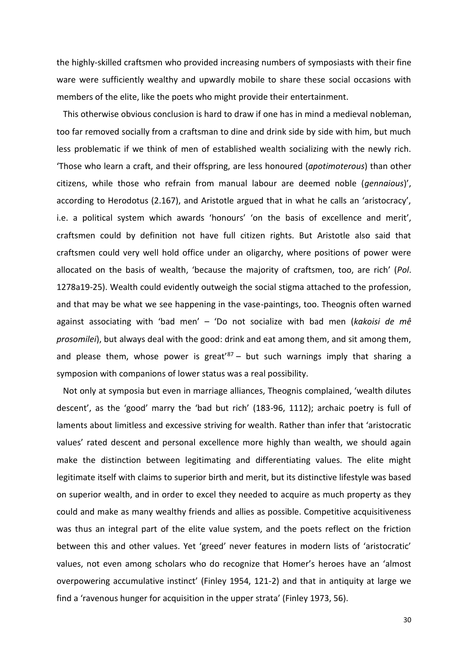the highly-skilled craftsmen who provided increasing numbers of symposiasts with their fine ware were sufficiently wealthy and upwardly mobile to share these social occasions with members of the elite, like the poets who might provide their entertainment.

 This otherwise obvious conclusion is hard to draw if one has in mind a medieval nobleman, too far removed socially from a craftsman to dine and drink side by side with him, but much less problematic if we think of men of established wealth socializing with the newly rich. 'Those who learn a craft, and their offspring, are less honoured (*apotimoterous*) than other citizens, while those who refrain from manual labour are deemed noble (*gennaious*)', according to Herodotus (2.167), and Aristotle argued that in what he calls an 'aristocracy', i.e. a political system which awards 'honours' 'on the basis of excellence and merit', craftsmen could by definition not have full citizen rights. But Aristotle also said that craftsmen could very well hold office under an oligarchy, where positions of power were allocated on the basis of wealth, 'because the majority of craftsmen, too, are rich' (*Pol*. 1278a19-25). Wealth could evidently outweigh the social stigma attached to the profession, and that may be what we see happening in the vase-paintings, too. Theognis often warned against associating with 'bad men' – 'Do not socialize with bad men (*kakoisi de mê prosomilei*), but always deal with the good: drink and eat among them, and sit among them, and please them, whose power is great<sup>'87</sup> – but such warnings imply that sharing a symposion with companions of lower status was a real possibility.

 Not only at symposia but even in marriage alliances, Theognis complained, 'wealth dilutes descent', as the 'good' marry the 'bad but rich' (183-96, 1112); archaic poetry is full of laments about limitless and excessive striving for wealth. Rather than infer that 'aristocratic values' rated descent and personal excellence more highly than wealth, we should again make the distinction between legitimating and differentiating values. The elite might legitimate itself with claims to superior birth and merit, but its distinctive lifestyle was based on superior wealth, and in order to excel they needed to acquire as much property as they could and make as many wealthy friends and allies as possible. Competitive acquisitiveness was thus an integral part of the elite value system, and the poets reflect on the friction between this and other values. Yet 'greed' never features in modern lists of 'aristocratic' values, not even among scholars who do recognize that Homer's heroes have an 'almost overpowering accumulative instinct' (Finley 1954, 121-2) and that in antiquity at large we find a 'ravenous hunger for acquisition in the upper strata' (Finley 1973, 56).

30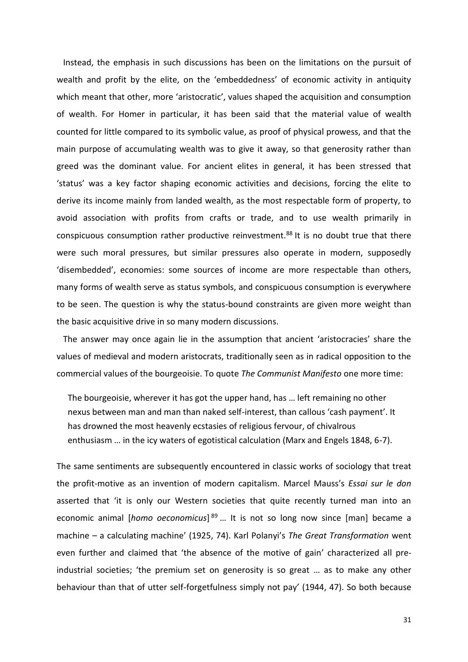Instead, the emphasis in such discussions has been on the limitations on the pursuit of wealth and profit by the elite, on the 'embeddedness' of economic activity in antiquity which meant that other, more 'aristocratic', values shaped the acquisition and consumption of wealth. For Homer in particular, it has been said that the material value of wealth counted for little compared to its symbolic value, as proof of physical prowess, and that the main purpose of accumulating wealth was to give it away, so that generosity rather than greed was the dominant value. For ancient elites in general, it has been stressed that 'status' was a key factor shaping economic activities and decisions, forcing the elite to derive its income mainly from landed wealth, as the most respectable form of property, to avoid association with profits from crafts or trade, and to use wealth primarily in conspicuous consumption rather productive reinvestment.<sup>88</sup> It is no doubt true that there were such moral pressures, but similar pressures also operate in modern, supposedly 'disembedded', economies: some sources of income are more respectable than others, many forms of wealth serve as status symbols, and conspicuous consumption is everywhere to be seen. The question is why the status-bound constraints are given more weight than the basic acquisitive drive in so many modern discussions.

 The answer may once again lie in the assumption that ancient 'aristocracies' share the values of medieval and modern aristocrats, traditionally seen as in radical opposition to the commercial values of the bourgeoisie. To quote *The Communist Manifesto* one more time:

The bourgeoisie, wherever it has got the upper hand, has … left remaining no other nexus between man and man than naked self-interest, than callous 'cash payment'. It has drowned the most heavenly ecstasies of religious fervour, of chivalrous enthusiasm … in the icy waters of egotistical calculation (Marx and Engels 1848, 6-7).

The same sentiments are subsequently encountered in classic works of sociology that treat the profit-motive as an invention of modern capitalism. Marcel Mauss's *Essai sur le don* asserted that 'it is only our Western societies that quite recently turned man into an economic animal [*homo oeconomicus*] <sup>89</sup> … It is not so long now since [man] became a machine – a calculating machine' (1925, 74). Karl Polanyi's *The Great Transformation* went even further and claimed that 'the absence of the motive of gain' characterized all preindustrial societies; 'the premium set on generosity is so great … as to make any other behaviour than that of utter self-forgetfulness simply not pay' (1944, 47). So both because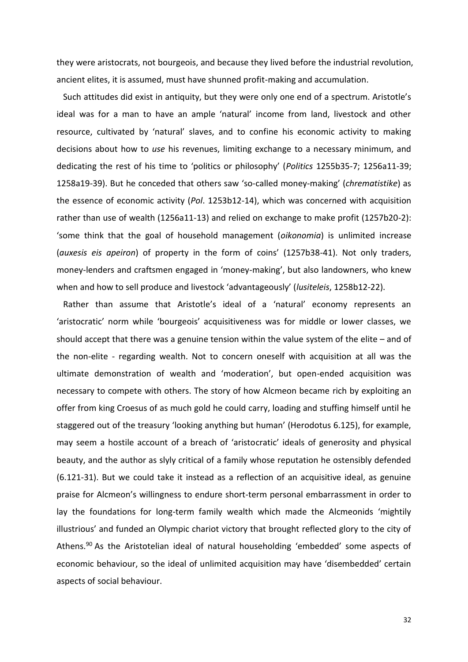they were aristocrats, not bourgeois, and because they lived before the industrial revolution, ancient elites, it is assumed, must have shunned profit-making and accumulation.

 Such attitudes did exist in antiquity, but they were only one end of a spectrum. Aristotle's ideal was for a man to have an ample 'natural' income from land, livestock and other resource, cultivated by 'natural' slaves, and to confine his economic activity to making decisions about how to *use* his revenues, limiting exchange to a necessary minimum, and dedicating the rest of his time to 'politics or philosophy' (*Politics* 1255b35-7; 1256a11-39; 1258a19-39). But he conceded that others saw 'so-called money-making' (*chrematistike*) as the essence of economic activity (*Pol*. 1253b12-14), which was concerned with acquisition rather than use of wealth (1256a11-13) and relied on exchange to make profit (1257b20-2): 'some think that the goal of household management (*oikonomia*) is unlimited increase (*auxesis eis apeiron*) of property in the form of coins' (1257b38-41). Not only traders, money-lenders and craftsmen engaged in 'money-making', but also landowners, who knew when and how to sell produce and livestock 'advantageously' (*lusiteleis*, 1258b12-22).

 Rather than assume that Aristotle's ideal of a 'natural' economy represents an 'aristocratic' norm while 'bourgeois' acquisitiveness was for middle or lower classes, we should accept that there was a genuine tension within the value system of the elite – and of the non-elite - regarding wealth. Not to concern oneself with acquisition at all was the ultimate demonstration of wealth and 'moderation', but open-ended acquisition was necessary to compete with others. The story of how Alcmeon became rich by exploiting an offer from king Croesus of as much gold he could carry, loading and stuffing himself until he staggered out of the treasury 'looking anything but human' (Herodotus 6.125), for example, may seem a hostile account of a breach of 'aristocratic' ideals of generosity and physical beauty, and the author as slyly critical of a family whose reputation he ostensibly defended (6.121-31). But we could take it instead as a reflection of an acquisitive ideal, as genuine praise for Alcmeon's willingness to endure short-term personal embarrassment in order to lay the foundations for long-term family wealth which made the Alcmeonids 'mightily illustrious' and funded an Olympic chariot victory that brought reflected glory to the city of Athens.<sup>90</sup> As the Aristotelian ideal of natural householding 'embedded' some aspects of economic behaviour, so the ideal of unlimited acquisition may have 'disembedded' certain aspects of social behaviour.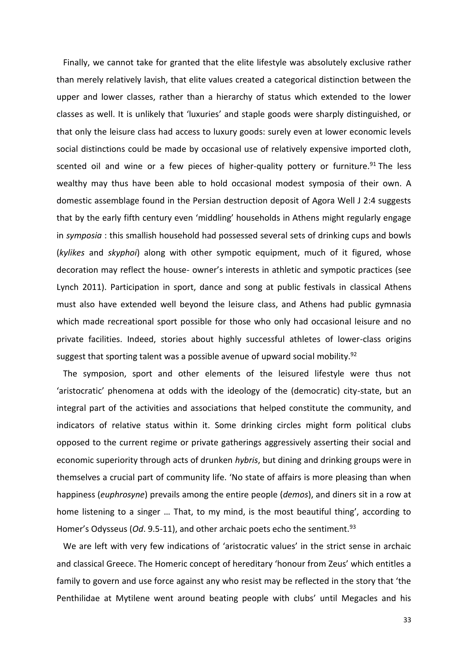Finally, we cannot take for granted that the elite lifestyle was absolutely exclusive rather than merely relatively lavish, that elite values created a categorical distinction between the upper and lower classes, rather than a hierarchy of status which extended to the lower classes as well. It is unlikely that 'luxuries' and staple goods were sharply distinguished, or that only the leisure class had access to luxury goods: surely even at lower economic levels social distinctions could be made by occasional use of relatively expensive imported cloth, scented oil and wine or a few pieces of higher-quality pottery or furniture.<sup>91</sup> The less wealthy may thus have been able to hold occasional modest symposia of their own. A domestic assemblage found in the Persian destruction deposit of Agora Well J 2:4 suggests that by the early fifth century even 'middling' households in Athens might regularly engage in *symposia* : this smallish household had possessed several sets of drinking cups and bowls (*kylikes* and *skyphoi*) along with other sympotic equipment, much of it figured, whose decoration may reflect the house- owner's interests in athletic and sympotic practices (see Lynch 2011). Participation in sport, dance and song at public festivals in classical Athens must also have extended well beyond the leisure class, and Athens had public gymnasia which made recreational sport possible for those who only had occasional leisure and no private facilities. Indeed, stories about highly successful athletes of lower-class origins suggest that sporting talent was a possible avenue of upward social mobility.<sup>92</sup>

 The symposion, sport and other elements of the leisured lifestyle were thus not 'aristocratic' phenomena at odds with the ideology of the (democratic) city-state, but an integral part of the activities and associations that helped constitute the community, and indicators of relative status within it. Some drinking circles might form political clubs opposed to the current regime or private gatherings aggressively asserting their social and economic superiority through acts of drunken *hybris*, but dining and drinking groups were in themselves a crucial part of community life. 'No state of affairs is more pleasing than when happiness (*euphrosyne*) prevails among the entire people (*demos*), and diners sit in a row at home listening to a singer … That, to my mind, is the most beautiful thing', according to Homer's Odysseus (*Od*. 9.5-11), and other archaic poets echo the sentiment.<sup>93</sup>

 We are left with very few indications of 'aristocratic values' in the strict sense in archaic and classical Greece. The Homeric concept of hereditary 'honour from Zeus' which entitles a family to govern and use force against any who resist may be reflected in the story that 'the Penthilidae at Mytilene went around beating people with clubs' until Megacles and his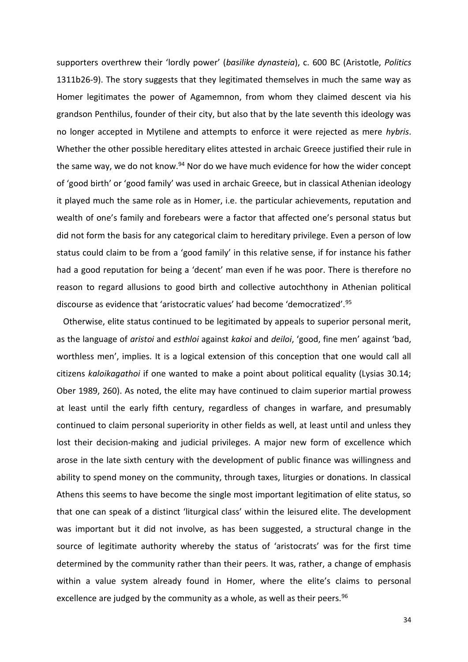supporters overthrew their 'lordly power' (*basilike dynasteia*), c. 600 BC (Aristotle, *Politics* 1311b26-9). The story suggests that they legitimated themselves in much the same way as Homer legitimates the power of Agamemnon, from whom they claimed descent via his grandson Penthilus, founder of their city, but also that by the late seventh this ideology was no longer accepted in Mytilene and attempts to enforce it were rejected as mere *hybris*. Whether the other possible hereditary elites attested in archaic Greece justified their rule in the same way, we do not know. $94$  Nor do we have much evidence for how the wider concept of 'good birth' or 'good family' was used in archaic Greece, but in classical Athenian ideology it played much the same role as in Homer, i.e. the particular achievements, reputation and wealth of one's family and forebears were a factor that affected one's personal status but did not form the basis for any categorical claim to hereditary privilege. Even a person of low status could claim to be from a 'good family' in this relative sense, if for instance his father had a good reputation for being a 'decent' man even if he was poor. There is therefore no reason to regard allusions to good birth and collective autochthony in Athenian political discourse as evidence that 'aristocratic values' had become 'democratized'.<sup>95</sup>

 Otherwise, elite status continued to be legitimated by appeals to superior personal merit, as the language of *aristoi* and *esthloi* against *kakoi* and *deiloi*, 'good, fine men' against 'bad, worthless men', implies. It is a logical extension of this conception that one would call all citizens *kaloikagathoi* if one wanted to make a point about political equality (Lysias 30.14; Ober 1989, 260). As noted, the elite may have continued to claim superior martial prowess at least until the early fifth century, regardless of changes in warfare, and presumably continued to claim personal superiority in other fields as well, at least until and unless they lost their decision-making and judicial privileges. A major new form of excellence which arose in the late sixth century with the development of public finance was willingness and ability to spend money on the community, through taxes, liturgies or donations. In classical Athens this seems to have become the single most important legitimation of elite status, so that one can speak of a distinct 'liturgical class' within the leisured elite. The development was important but it did not involve, as has been suggested, a structural change in the source of legitimate authority whereby the status of 'aristocrats' was for the first time determined by the community rather than their peers. It was, rather, a change of emphasis within a value system already found in Homer, where the elite's claims to personal excellence are judged by the community as a whole, as well as their peers.  $96$ 

34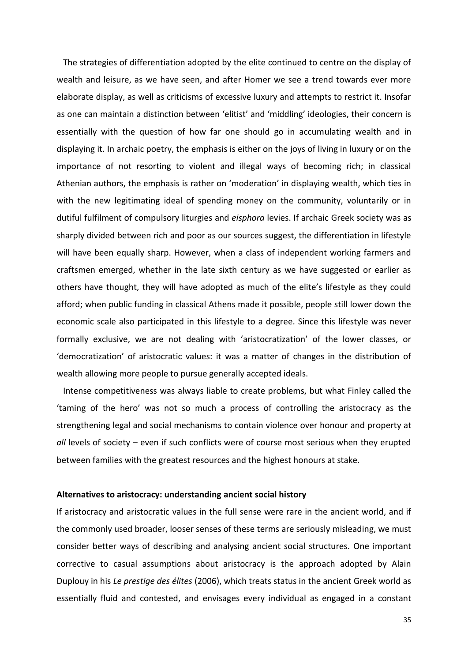The strategies of differentiation adopted by the elite continued to centre on the display of wealth and leisure, as we have seen, and after Homer we see a trend towards ever more elaborate display, as well as criticisms of excessive luxury and attempts to restrict it. Insofar as one can maintain a distinction between 'elitist' and 'middling' ideologies, their concern is essentially with the question of how far one should go in accumulating wealth and in displaying it. In archaic poetry, the emphasis is either on the joys of living in luxury or on the importance of not resorting to violent and illegal ways of becoming rich; in classical Athenian authors, the emphasis is rather on 'moderation' in displaying wealth, which ties in with the new legitimating ideal of spending money on the community, voluntarily or in dutiful fulfilment of compulsory liturgies and *eisphora* levies. If archaic Greek society was as sharply divided between rich and poor as our sources suggest, the differentiation in lifestyle will have been equally sharp. However, when a class of independent working farmers and craftsmen emerged, whether in the late sixth century as we have suggested or earlier as others have thought, they will have adopted as much of the elite's lifestyle as they could afford; when public funding in classical Athens made it possible, people still lower down the economic scale also participated in this lifestyle to a degree. Since this lifestyle was never formally exclusive, we are not dealing with 'aristocratization' of the lower classes, or 'democratization' of aristocratic values: it was a matter of changes in the distribution of wealth allowing more people to pursue generally accepted ideals.

 Intense competitiveness was always liable to create problems, but what Finley called the 'taming of the hero' was not so much a process of controlling the aristocracy as the strengthening legal and social mechanisms to contain violence over honour and property at *all* levels of society – even if such conflicts were of course most serious when they erupted between families with the greatest resources and the highest honours at stake.

### **Alternatives to aristocracy: understanding ancient social history**

If aristocracy and aristocratic values in the full sense were rare in the ancient world, and if the commonly used broader, looser senses of these terms are seriously misleading, we must consider better ways of describing and analysing ancient social structures. One important corrective to casual assumptions about aristocracy is the approach adopted by Alain Duplouy in his *Le prestige des élites* (2006), which treats status in the ancient Greek world as essentially fluid and contested, and envisages every individual as engaged in a constant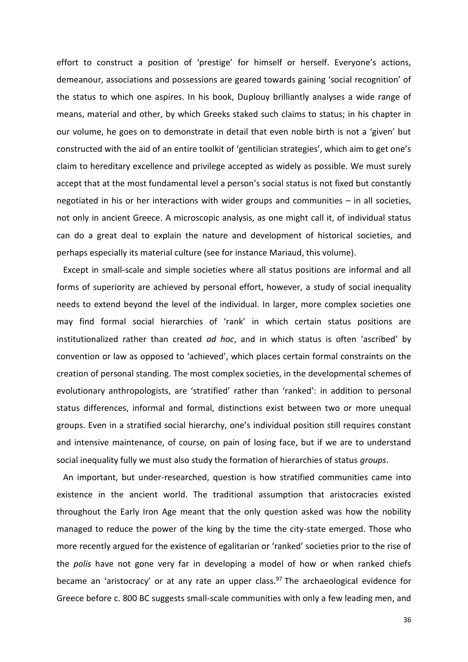effort to construct a position of 'prestige' for himself or herself. Everyone's actions, demeanour, associations and possessions are geared towards gaining 'social recognition' of the status to which one aspires. In his book, Duplouy brilliantly analyses a wide range of means, material and other, by which Greeks staked such claims to status; in his chapter in our volume, he goes on to demonstrate in detail that even noble birth is not a 'given' but constructed with the aid of an entire toolkit of 'gentilician strategies', which aim to get one's claim to hereditary excellence and privilege accepted as widely as possible. We must surely accept that at the most fundamental level a person's social status is not fixed but constantly negotiated in his or her interactions with wider groups and communities – in all societies, not only in ancient Greece. A microscopic analysis, as one might call it, of individual status can do a great deal to explain the nature and development of historical societies, and perhaps especially its material culture (see for instance Mariaud, this volume).

 Except in small-scale and simple societies where all status positions are informal and all forms of superiority are achieved by personal effort, however, a study of social inequality needs to extend beyond the level of the individual. In larger, more complex societies one may find formal social hierarchies of 'rank' in which certain status positions are institutionalized rather than created *ad hoc*, and in which status is often 'ascribed' by convention or law as opposed to 'achieved', which places certain formal constraints on the creation of personal standing. The most complex societies, in the developmental schemes of evolutionary anthropologists, are 'stratified' rather than 'ranked': in addition to personal status differences, informal and formal, distinctions exist between two or more unequal groups. Even in a stratified social hierarchy, one's individual position still requires constant and intensive maintenance, of course, on pain of losing face, but if we are to understand social inequality fully we must also study the formation of hierarchies of status *groups*.

 An important, but under-researched, question is how stratified communities came into existence in the ancient world. The traditional assumption that aristocracies existed throughout the Early Iron Age meant that the only question asked was how the nobility managed to reduce the power of the king by the time the city-state emerged. Those who more recently argued for the existence of egalitarian or 'ranked' societies prior to the rise of the *polis* have not gone very far in developing a model of how or when ranked chiefs became an 'aristocracy' or at any rate an upper class.<sup>97</sup> The archaeological evidence for Greece before c. 800 BC suggests small-scale communities with only a few leading men, and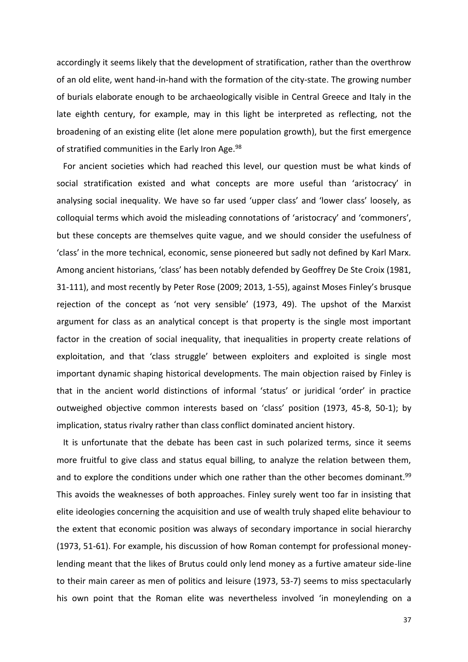accordingly it seems likely that the development of stratification, rather than the overthrow of an old elite, went hand-in-hand with the formation of the city-state. The growing number of burials elaborate enough to be archaeologically visible in Central Greece and Italy in the late eighth century, for example, may in this light be interpreted as reflecting, not the broadening of an existing elite (let alone mere population growth), but the first emergence of stratified communities in the Early Iron Age.<sup>98</sup>

 For ancient societies which had reached this level, our question must be what kinds of social stratification existed and what concepts are more useful than 'aristocracy' in analysing social inequality. We have so far used 'upper class' and 'lower class' loosely, as colloquial terms which avoid the misleading connotations of 'aristocracy' and 'commoners', but these concepts are themselves quite vague, and we should consider the usefulness of 'class' in the more technical, economic, sense pioneered but sadly not defined by Karl Marx. Among ancient historians, 'class' has been notably defended by Geoffrey De Ste Croix (1981, 31-111), and most recently by Peter Rose (2009; 2013, 1-55), against Moses Finley's brusque rejection of the concept as 'not very sensible' (1973, 49). The upshot of the Marxist argument for class as an analytical concept is that property is the single most important factor in the creation of social inequality, that inequalities in property create relations of exploitation, and that 'class struggle' between exploiters and exploited is single most important dynamic shaping historical developments. The main objection raised by Finley is that in the ancient world distinctions of informal 'status' or juridical 'order' in practice outweighed objective common interests based on 'class' position (1973, 45-8, 50-1); by implication, status rivalry rather than class conflict dominated ancient history.

 It is unfortunate that the debate has been cast in such polarized terms, since it seems more fruitful to give class and status equal billing, to analyze the relation between them, and to explore the conditions under which one rather than the other becomes dominant.<sup>99</sup> This avoids the weaknesses of both approaches. Finley surely went too far in insisting that elite ideologies concerning the acquisition and use of wealth truly shaped elite behaviour to the extent that economic position was always of secondary importance in social hierarchy (1973, 51-61). For example, his discussion of how Roman contempt for professional moneylending meant that the likes of Brutus could only lend money as a furtive amateur side-line to their main career as men of politics and leisure (1973, 53-7) seems to miss spectacularly his own point that the Roman elite was nevertheless involved 'in moneylending on a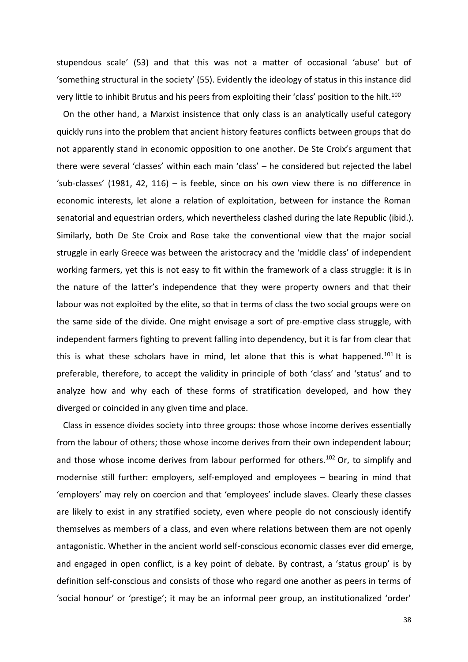stupendous scale' (53) and that this was not a matter of occasional 'abuse' but of 'something structural in the society' (55). Evidently the ideology of status in this instance did very little to inhibit Brutus and his peers from exploiting their 'class' position to the hilt.<sup>100</sup>

 On the other hand, a Marxist insistence that only class is an analytically useful category quickly runs into the problem that ancient history features conflicts between groups that do not apparently stand in economic opposition to one another. De Ste Croix's argument that there were several 'classes' within each main 'class' – he considered but rejected the label 'sub-classes' (1981, 42, 116) – is feeble, since on his own view there is no difference in economic interests, let alone a relation of exploitation, between for instance the Roman senatorial and equestrian orders, which nevertheless clashed during the late Republic (ibid.). Similarly, both De Ste Croix and Rose take the conventional view that the major social struggle in early Greece was between the aristocracy and the 'middle class' of independent working farmers, yet this is not easy to fit within the framework of a class struggle: it is in the nature of the latter's independence that they were property owners and that their labour was not exploited by the elite, so that in terms of class the two social groups were on the same side of the divide. One might envisage a sort of pre-emptive class struggle, with independent farmers fighting to prevent falling into dependency, but it is far from clear that this is what these scholars have in mind, let alone that this is what happened.<sup>101</sup> It is preferable, therefore, to accept the validity in principle of both 'class' and 'status' and to analyze how and why each of these forms of stratification developed, and how they diverged or coincided in any given time and place.

 Class in essence divides society into three groups: those whose income derives essentially from the labour of others; those whose income derives from their own independent labour; and those whose income derives from labour performed for others.<sup>102</sup> Or, to simplify and modernise still further: employers, self-employed and employees – bearing in mind that 'employers' may rely on coercion and that 'employees' include slaves. Clearly these classes are likely to exist in any stratified society, even where people do not consciously identify themselves as members of a class, and even where relations between them are not openly antagonistic. Whether in the ancient world self-conscious economic classes ever did emerge, and engaged in open conflict, is a key point of debate. By contrast, a 'status group' is by definition self-conscious and consists of those who regard one another as peers in terms of 'social honour' or 'prestige'; it may be an informal peer group, an institutionalized 'order'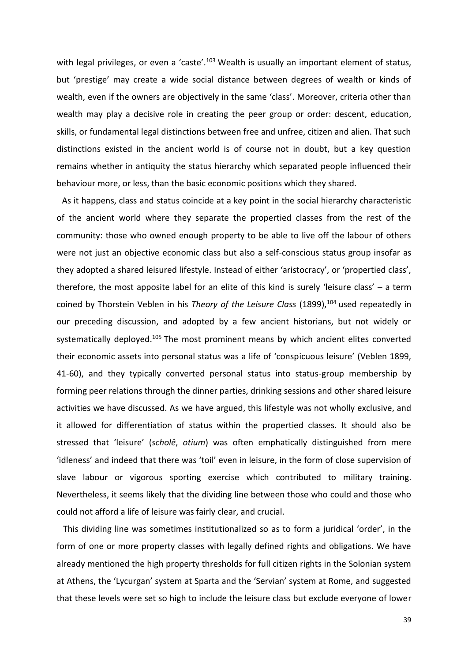with legal privileges, or even a 'caste'.<sup>103</sup> Wealth is usually an important element of status, but 'prestige' may create a wide social distance between degrees of wealth or kinds of wealth, even if the owners are objectively in the same 'class'. Moreover, criteria other than wealth may play a decisive role in creating the peer group or order: descent, education, skills, or fundamental legal distinctions between free and unfree, citizen and alien. That such distinctions existed in the ancient world is of course not in doubt, but a key question remains whether in antiquity the status hierarchy which separated people influenced their behaviour more, or less, than the basic economic positions which they shared.

 As it happens, class and status coincide at a key point in the social hierarchy characteristic of the ancient world where they separate the propertied classes from the rest of the community: those who owned enough property to be able to live off the labour of others were not just an objective economic class but also a self-conscious status group insofar as they adopted a shared leisured lifestyle. Instead of either 'aristocracy', or 'propertied class', therefore, the most apposite label for an elite of this kind is surely 'leisure class' – a term coined by Thorstein Veblen in his *Theory of the Leisure Class* (1899), <sup>104</sup> used repeatedly in our preceding discussion, and adopted by a few ancient historians, but not widely or systematically deployed.<sup>105</sup> The most prominent means by which ancient elites converted their economic assets into personal status was a life of 'conspicuous leisure' (Veblen 1899, 41-60), and they typically converted personal status into status-group membership by forming peer relations through the dinner parties, drinking sessions and other shared leisure activities we have discussed. As we have argued, this lifestyle was not wholly exclusive, and it allowed for differentiation of status within the propertied classes. It should also be stressed that 'leisure' (*scholê*, *otium*) was often emphatically distinguished from mere 'idleness' and indeed that there was 'toil' even in leisure, in the form of close supervision of slave labour or vigorous sporting exercise which contributed to military training. Nevertheless, it seems likely that the dividing line between those who could and those who could not afford a life of leisure was fairly clear, and crucial.

 This dividing line was sometimes institutionalized so as to form a juridical 'order', in the form of one or more property classes with legally defined rights and obligations. We have already mentioned the high property thresholds for full citizen rights in the Solonian system at Athens, the 'Lycurgan' system at Sparta and the 'Servian' system at Rome, and suggested that these levels were set so high to include the leisure class but exclude everyone of lower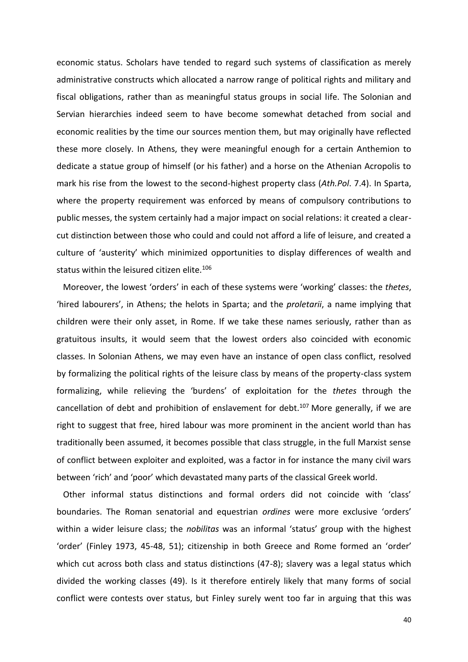economic status. Scholars have tended to regard such systems of classification as merely administrative constructs which allocated a narrow range of political rights and military and fiscal obligations, rather than as meaningful status groups in social life. The Solonian and Servian hierarchies indeed seem to have become somewhat detached from social and economic realities by the time our sources mention them, but may originally have reflected these more closely. In Athens, they were meaningful enough for a certain Anthemion to dedicate a statue group of himself (or his father) and a horse on the Athenian Acropolis to mark his rise from the lowest to the second-highest property class (*Ath.Pol*. 7.4). In Sparta, where the property requirement was enforced by means of compulsory contributions to public messes, the system certainly had a major impact on social relations: it created a clearcut distinction between those who could and could not afford a life of leisure, and created a culture of 'austerity' which minimized opportunities to display differences of wealth and status within the leisured citizen elite.<sup>106</sup>

 Moreover, the lowest 'orders' in each of these systems were 'working' classes: the *thetes*, 'hired labourers', in Athens; the helots in Sparta; and the *proletarii*, a name implying that children were their only asset, in Rome. If we take these names seriously, rather than as gratuitous insults, it would seem that the lowest orders also coincided with economic classes. In Solonian Athens, we may even have an instance of open class conflict, resolved by formalizing the political rights of the leisure class by means of the property-class system formalizing, while relieving the 'burdens' of exploitation for the *thetes* through the cancellation of debt and prohibition of enslavement for debt.<sup>107</sup> More generally, if we are right to suggest that free, hired labour was more prominent in the ancient world than has traditionally been assumed, it becomes possible that class struggle, in the full Marxist sense of conflict between exploiter and exploited, was a factor in for instance the many civil wars between 'rich' and 'poor' which devastated many parts of the classical Greek world.

 Other informal status distinctions and formal orders did not coincide with 'class' boundaries. The Roman senatorial and equestrian *ordines* were more exclusive 'orders' within a wider leisure class; the *nobilitas* was an informal 'status' group with the highest 'order' (Finley 1973, 45-48, 51); citizenship in both Greece and Rome formed an 'order' which cut across both class and status distinctions (47-8); slavery was a legal status which divided the working classes (49). Is it therefore entirely likely that many forms of social conflict were contests over status, but Finley surely went too far in arguing that this was

40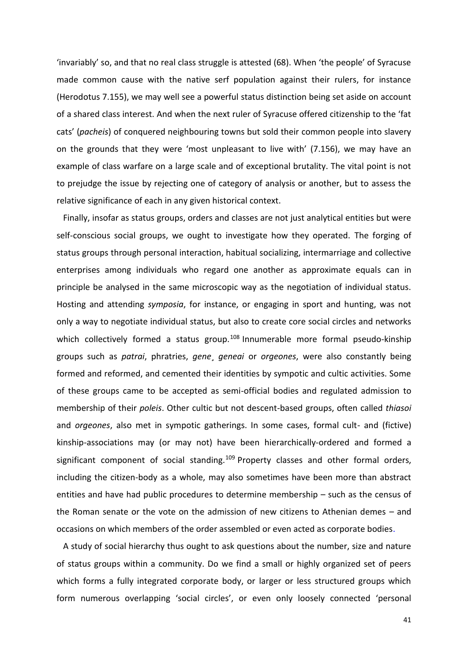'invariably' so, and that no real class struggle is attested (68). When 'the people' of Syracuse made common cause with the native serf population against their rulers, for instance (Herodotus 7.155), we may well see a powerful status distinction being set aside on account of a shared class interest. And when the next ruler of Syracuse offered citizenship to the 'fat cats' (*pacheis*) of conquered neighbouring towns but sold their common people into slavery on the grounds that they were 'most unpleasant to live with' (7.156), we may have an example of class warfare on a large scale and of exceptional brutality. The vital point is not to prejudge the issue by rejecting one of category of analysis or another, but to assess the relative significance of each in any given historical context.

 Finally, insofar as status groups, orders and classes are not just analytical entities but were self-conscious social groups, we ought to investigate how they operated. The forging of status groups through personal interaction, habitual socializing, intermarriage and collective enterprises among individuals who regard one another as approximate equals can in principle be analysed in the same microscopic way as the negotiation of individual status. Hosting and attending *symposia*, for instance, or engaging in sport and hunting, was not only a way to negotiate individual status, but also to create core social circles and networks which collectively formed a status group. $108$  Innumerable more formal pseudo-kinship groups such as *patrai*, phratries, *gene*¸ *geneai* or *orgeones*, were also constantly being formed and reformed, and cemented their identities by sympotic and cultic activities. Some of these groups came to be accepted as semi-official bodies and regulated admission to membership of their *poleis*. Other cultic but not descent-based groups, often called *thiasoi* and *orgeones*, also met in sympotic gatherings. In some cases, formal cult- and (fictive) kinship-associations may (or may not) have been hierarchically-ordered and formed a significant component of social standing.<sup>109</sup> Property classes and other formal orders, including the citizen-body as a whole, may also sometimes have been more than abstract entities and have had public procedures to determine membership – such as the census of the Roman senate or the vote on the admission of new citizens to Athenian demes – and occasions on which members of the order assembled or even acted as corporate bodies.

 A study of social hierarchy thus ought to ask questions about the number, size and nature of status groups within a community. Do we find a small or highly organized set of peers which forms a fully integrated corporate body, or larger or less structured groups which form numerous overlapping 'social circles', or even only loosely connected 'personal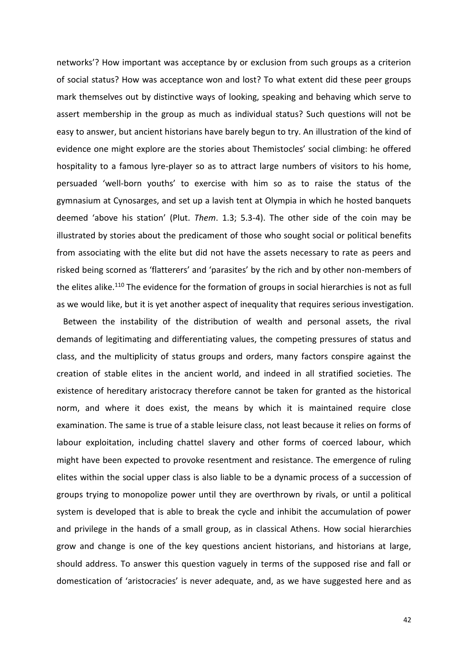networks'? How important was acceptance by or exclusion from such groups as a criterion of social status? How was acceptance won and lost? To what extent did these peer groups mark themselves out by distinctive ways of looking, speaking and behaving which serve to assert membership in the group as much as individual status? Such questions will not be easy to answer, but ancient historians have barely begun to try. An illustration of the kind of evidence one might explore are the stories about Themistocles' social climbing: he offered hospitality to a famous lyre-player so as to attract large numbers of visitors to his home, persuaded 'well-born youths' to exercise with him so as to raise the status of the gymnasium at Cynosarges, and set up a lavish tent at Olympia in which he hosted banquets deemed 'above his station' (Plut. *Them*. 1.3; 5.3-4). The other side of the coin may be illustrated by stories about the predicament of those who sought social or political benefits from associating with the elite but did not have the assets necessary to rate as peers and risked being scorned as 'flatterers' and 'parasites' by the rich and by other non-members of the elites alike.<sup>110</sup> The evidence for the formation of groups in social hierarchies is not as full as we would like, but it is yet another aspect of inequality that requires serious investigation.

 Between the instability of the distribution of wealth and personal assets, the rival demands of legitimating and differentiating values, the competing pressures of status and class, and the multiplicity of status groups and orders, many factors conspire against the creation of stable elites in the ancient world, and indeed in all stratified societies. The existence of hereditary aristocracy therefore cannot be taken for granted as the historical norm, and where it does exist, the means by which it is maintained require close examination. The same is true of a stable leisure class, not least because it relies on forms of labour exploitation, including chattel slavery and other forms of coerced labour, which might have been expected to provoke resentment and resistance. The emergence of ruling elites within the social upper class is also liable to be a dynamic process of a succession of groups trying to monopolize power until they are overthrown by rivals, or until a political system is developed that is able to break the cycle and inhibit the accumulation of power and privilege in the hands of a small group, as in classical Athens. How social hierarchies grow and change is one of the key questions ancient historians, and historians at large, should address. To answer this question vaguely in terms of the supposed rise and fall or domestication of 'aristocracies' is never adequate, and, as we have suggested here and as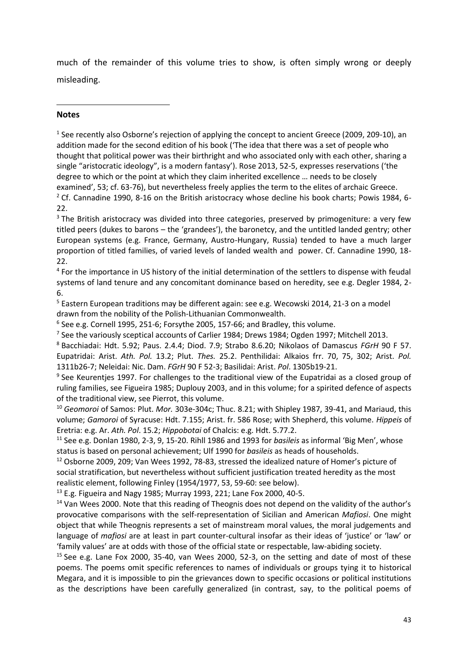much of the remainder of this volume tries to show, is often simply wrong or deeply misleading.

# **Notes**

**.** 

 $<sup>1</sup>$  See recently also Osborne's rejection of applying the concept to ancient Greece (2009, 209-10), an</sup> addition made for the second edition of his book ('The idea that there was a set of people who thought that political power was their birthright and who associated only with each other, sharing a single "aristocratic ideology", is a modern fantasy'). Rose 2013, 52-5, expresses reservations ('the degree to which or the point at which they claim inherited excellence … needs to be closely examined', 53; cf. 63-76), but nevertheless freely applies the term to the elites of archaic Greece. <sup>2</sup> Cf. Cannadine 1990, 8-16 on the British aristocracy whose decline his book charts; Powis 1984, 6-22.

<sup>3</sup> The British aristocracy was divided into three categories, preserved by primogeniture: a very few titled peers (dukes to barons – the 'grandees'), the baronetcy, and the untitled landed gentry; other European systems (e.g. France, Germany, Austro-Hungary, Russia) tended to have a much larger proportion of titled families, of varied levels of landed wealth and power. Cf. Cannadine 1990, 18- 22.

<sup>4</sup> For the importance in US history of the initial determination of the settlers to dispense with feudal systems of land tenure and any concomitant dominance based on heredity, see e.g. Degler 1984, 2- 6.

<sup>5</sup> Eastern European traditions may be different again: see e.g. Wecowski 2014, 21-3 on a model drawn from the nobility of the Polish-Lithuanian Commonwealth.

 $6$  See e.g. Cornell 1995, 251-6; Forsythe 2005, 157-66; and Bradley, this volume.

<sup>7</sup> See the variously sceptical accounts of Carlier 1984; Drews 1984; Ogden 1997; Mitchell 2013.

<sup>8</sup> Bacchiadai: Hdt. 5.92; Paus. 2.4.4; Diod. 7.9; Strabo 8.6.20; Nikolaos of Damascus *FGrH* 90 F 57. Eupatridai: Arist. *Ath. Pol.* 13.2; Plut. *Thes.* 25.2. Penthilidai: Alkaios frr. 70, 75, 302; Arist. *Pol.* 1311b26-7; Neleidai: Nic. Dam. *FGrH* 90 F 52-3; Basilidai: Arist. *Pol*. 1305b19-21.

<sup>9</sup> See Keurentjes 1997. For challenges to the traditional view of the Eupatridai as a closed group of ruling families, see Figueira 1985; Duplouy 2003, and in this volume; for a spirited defence of aspects of the traditional view, see Pierrot, this volume.

<sup>10</sup> *Geomoroi* of Samos: Plut. *Mor.* 303e-304c; Thuc. 8.21; with Shipley 1987, 39-41, and Mariaud, this volume; *Gamoroi* of Syracuse: Hdt. 7.155; Arist. fr. 586 Rose; with Shepherd, this volume. *Hippeis* of Eretria: e.g. Ar. *Ath. Pol*. 15.2; *Hippobotai* of Chalcis: e.g. Hdt. 5.77.2.

<sup>11</sup> See e.g. Donlan 1980, 2-3, 9, 15-20. Rihll 1986 and 1993 for *basileis* as informal 'Big Men', whose status is based on personal achievement; Ulf 1990 for *basileis* as heads of households.

<sup>12</sup> Osborne 2009, 209; Van Wees 1992, 78-83, stressed the idealized nature of Homer's picture of social stratification, but nevertheless without sufficient justification treated heredity as the most realistic element, following Finley (1954/1977, 53, 59-60: see below).

 $13$  E.g. Figueira and Nagy 1985; Murray 1993, 221; Lane Fox 2000, 40-5.

<sup>14</sup> Van Wees 2000. Note that this reading of Theognis does not depend on the validity of the author's provocative comparisons with the self-representation of Sicilian and American *Mafiosi*. One might object that while Theognis represents a set of mainstream moral values, the moral judgements and language of *mafiosi* are at least in part counter-cultural insofar as their ideas of 'justice' or 'law' or 'family values' are at odds with those of the official state or respectable, law-abiding society.

 $15$  See e.g. Lane Fox 2000, 35-40, van Wees 2000, 52-3, on the setting and date of most of these poems. The poems omit specific references to names of individuals or groups tying it to historical Megara, and it is impossible to pin the grievances down to specific occasions or political institutions as the descriptions have been carefully generalized (in contrast, say, to the political poems of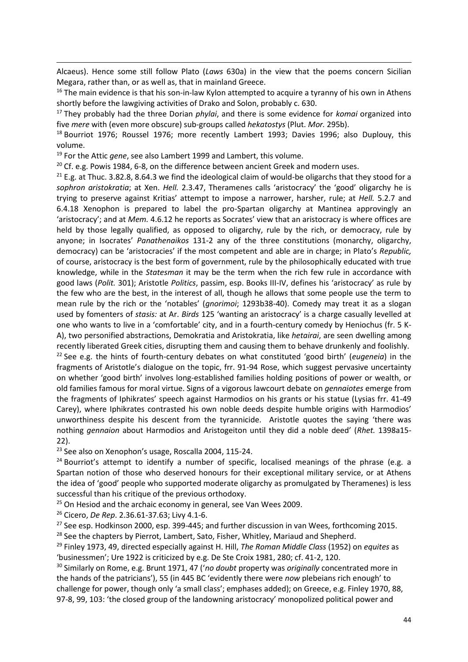Alcaeus). Hence some still follow Plato (*Laws* 630a) in the view that the poems concern Sicilian Megara, rather than, or as well as, that in mainland Greece.

 $16$  The main evidence is that his son-in-law Kylon attempted to acquire a tyranny of his own in Athens shortly before the lawgiving activities of Drako and Solon, probably c. 630.

<sup>17</sup> They probably had the three Dorian *phylai*, and there is some evidence for *komai* organized into five *mere* with (even more obscure) sub-groups called *hekatostys* (Plut. *Mor.* 295b).

<sup>18</sup> Bourriot 1976; Roussel 1976; more recently Lambert 1993; Davies 1996; also Duplouy, this volume.

<sup>19</sup> For the Attic *gene*, see also Lambert 1999 and Lambert, this volume.

 $20$  Cf. e.g. Powis 1984, 6-8, on the difference between ancient Greek and modern uses.

 $21$  E.g. at Thuc. 3.82.8, 8.64.3 we find the ideological claim of would-be oligarchs that they stood for a *sophron aristokratia*; at Xen. *Hell.* 2.3.47, Theramenes calls 'aristocracy' the 'good' oligarchy he is trying to preserve against Kritias' attempt to impose a narrower, harsher, rule; at *Hell.* 5.2.7 and 6.4.18 Xenophon is prepared to label the pro-Spartan oligarchy at Mantinea approvingly an 'aristocracy'; and at *Mem.* 4.6.12 he reports as Socrates' view that an aristocracy is where offices are held by those legally qualified, as opposed to oligarchy, rule by the rich, or democracy, rule by anyone; in Isocrates' *Panathenaikos* 131-2 any of the three constitutions (monarchy, oligarchy, democracy) can be 'aristocracies' if the most competent and able are in charge; in Plato's *Republic,*  of course, aristocracy is the best form of government, rule by the philosophically educated with true knowledge, while in the *Statesman* it may be the term when the rich few rule in accordance with good laws (*Polit.* 301); Aristotle *Politics*, passim, esp. Books III-IV, defines his 'aristocracy' as rule by the few who are the best, in the interest of all, though he allows that some people use the term to mean rule by the rich or the 'notables' (*gnorimoi*; 1293b38-40). Comedy may treat it as a slogan used by fomenters of *stasis:* at Ar. *Birds* 125 'wanting an aristocracy' is a charge casually levelled at one who wants to live in a 'comfortable' city, and in a fourth-century comedy by Heniochus (fr. 5 K-A), two personified abstractions, Demokratia and Aristokratia, like *hetairai*, are seen dwelling among recently liberated Greek cities, disrupting them and causing them to behave drunkenly and foolishly. <sup>22</sup> See e.g. the hints of fourth-century debates on what constituted 'good birth' (*eugeneia*) in the fragments of Aristotle's dialogue on the topic, frr. 91-94 Rose, which suggest pervasive uncertainty on whether 'good birth' involves long-established families holding positions of power or wealth, or old families famous for moral virtue. Signs of a vigorous lawcourt debate on *gennaiotes* emerge from the fragments of Iphikrates' speech against Harmodios on his grants or his statue (Lysias frr. 41-49 Carey), where Iphikrates contrasted his own noble deeds despite humble origins with Harmodios' unworthiness despite his descent from the tyrannicide. Aristotle quotes the saying 'there was nothing *gennaion* about Harmodios and Aristogeiton until they did a noble deed' (*Rhet.* 1398a15-

22).

**-**

<sup>23</sup> See also on Xenophon's usage, Roscalla 2004, 115-24.

 $24$  Bourriot's attempt to identify a number of specific, localised meanings of the phrase (e.g. a Spartan notion of those who deserved honours for their exceptional military service, or at Athens the idea of 'good' people who supported moderate oligarchy as promulgated by Theramenes) is less successful than his critique of the previous orthodoxy.

<sup>25</sup> On Hesiod and the archaic economy in general, see Van Wees 2009.

<sup>26</sup> Cicero, *De Rep*. 2.36.61-37.63; Livy 4.1-6.

<sup>27</sup> See esp. Hodkinson 2000, esp. 399-445; and further discussion in van Wees, forthcoming 2015.

<sup>28</sup> See the chapters by Pierrot, Lambert, Sato, Fisher, Whitley, Mariaud and Shepherd.

<sup>29</sup> Finley 1973, 49, directed especially against H. Hill, *The Roman Middle Class* (1952) on *equites* as 'businessmen'; Ure 1922 is criticized by e.g. De Ste Croix 1981, 280; cf. 41-2, 120.

<sup>30</sup> Similarly on Rome, e.g. Brunt 1971, 47 ('*no doubt* property was *originally* concentrated more in the hands of the patricians'), 55 (in 445 BC 'evidently there were *now* plebeians rich enough' to challenge for power, though only 'a small class'; emphases added); on Greece, e.g. Finley 1970, 88, 97-8, 99, 103: 'the closed group of the landowning aristocracy' monopolized political power and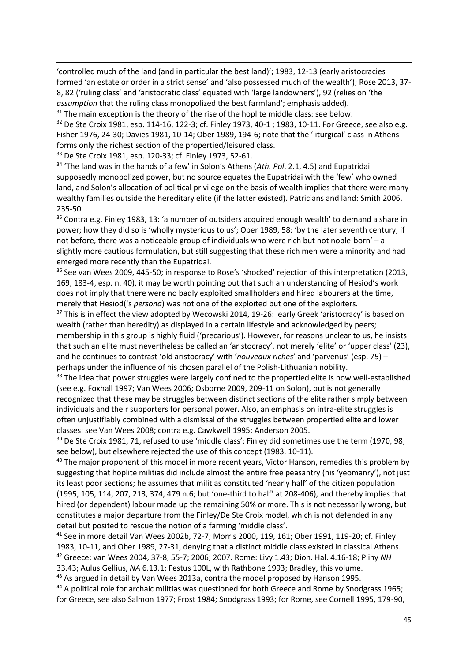'controlled much of the land (and in particular the best land)'; 1983, 12-13 (early aristocracies formed 'an estate or order in a strict sense' and 'also possessed much of the wealth'); Rose 2013, 37- 8, 82 ('ruling class' and 'aristocratic class' equated with 'large landowners'), 92 (relies on 'the *assumption* that the ruling class monopolized the best farmland'; emphasis added).

 $31$  The main exception is the theory of the rise of the hoplite middle class: see below.

<sup>32</sup> De Ste Croix 1981, esp. 114-16, 122-3; cf. Finley 1973, 40-1; 1983, 10-11. For Greece, see also e.g. Fisher 1976, 24-30; Davies 1981, 10-14; Ober 1989, 194-6; note that the 'liturgical' class in Athens forms only the richest section of the propertied/leisured class.

<sup>33</sup> De Ste Croix 1981, esp. 120-33; cf. Finley 1973, 52-61.

**-**

<sup>34</sup> 'The land was in the hands of a few' in Solon's Athens (*Ath. Pol*. 2.1, 4.5) and Eupatridai supposedly monopolized power, but no source equates the Eupatridai with the 'few' who owned land, and Solon's allocation of political privilege on the basis of wealth implies that there were many wealthy families outside the hereditary elite (if the latter existed). Patricians and land: Smith 2006, 235-50.

<sup>35</sup> Contra e.g. Finley 1983, 13: 'a number of outsiders acquired enough wealth' to demand a share in power; how they did so is 'wholly mysterious to us'; Ober 1989, 58: 'by the later seventh century, if not before, there was a noticeable group of individuals who were rich but not noble-born' – a slightly more cautious formulation, but still suggesting that these rich men were a minority and had emerged more recently than the Eupatridai.

<sup>36</sup> See van Wees 2009, 445-50; in response to Rose's 'shocked' rejection of this interpretation (2013, 169, 183-4, esp. n. 40), it may be worth pointing out that such an understanding of Hesiod's work does not imply that there were no badly exploited smallholders and hired labourers at the time, merely that Hesiod('s *persona*) was not one of the exploited but one of the exploiters.

 $37$  This is in effect the view adopted by Wecowski 2014, 19-26: early Greek 'aristocracy' is based on wealth (rather than heredity) as displayed in a certain lifestyle and acknowledged by peers; membership in this group is highly fluid ('precarious'). However, for reasons unclear to us, he insists that such an elite must nevertheless be called an 'aristocracy', not merely 'elite' or 'upper class' (23), and he continues to contrast 'old aristocracy' with '*nouveaux riches*' and 'parvenus' (esp. 75) – perhaps under the influence of his chosen parallel of the Polish-Lithuanian nobility.

<sup>38</sup> The idea that power struggles were largely confined to the propertied elite is now well-established (see e.g. Foxhall 1997; Van Wees 2006; Osborne 2009, 209-11 on Solon), but is not generally recognized that these may be struggles between distinct sections of the elite rather simply between individuals and their supporters for personal power. Also, an emphasis on intra-elite struggles is often unjustifiably combined with a dismissal of the struggles between propertied elite and lower classes: see Van Wees 2008; contra e.g. Cawkwell 1995; Anderson 2005.

 $39$  De Ste Croix 1981, 71, refused to use 'middle class'; Finley did sometimes use the term (1970, 98; see below), but elsewhere rejected the use of this concept (1983, 10-11).

<sup>40</sup> The major proponent of this model in more recent years, Victor Hanson, remedies this problem by suggesting that hoplite militias did include almost the entire free peasantry (his 'yeomanry'), not just its least poor sections; he assumes that militias constituted 'nearly half' of the citizen population (1995, 105, 114, 207, 213, 374, 479 n.6; but 'one-third to half' at 208-406), and thereby implies that hired (or dependent) labour made up the remaining 50% or more. This is not necessarily wrong, but constitutes a major departure from the Finley/De Ste Croix model, which is not defended in any detail but posited to rescue the notion of a farming 'middle class'.

 $41$  See in more detail Van Wees 2002b, 72-7; Morris 2000, 119, 161; Ober 1991, 119-20; cf. Finley 1983, 10-11, and Ober 1989, 27-31, denying that a distinct middle class existed in classical Athens. <sup>42</sup> Greece: van Wees 2004, 37-8, 55-7; 2006; 2007. Rome: Livy 1.43; Dion. Hal. 4.16-18; Pliny *NH* 33.43; Aulus Gellius, *NA* 6.13.1; Festus 100L, with Rathbone 1993; Bradley, this volume.

 $43$  As argued in detail by Van Wees 2013a, contra the model proposed by Hanson 1995.

<sup>44</sup> A political role for archaic militias was questioned for both Greece and Rome by Snodgrass 1965; for Greece, see also Salmon 1977; Frost 1984; Snodgrass 1993; for Rome, see Cornell 1995, 179-90,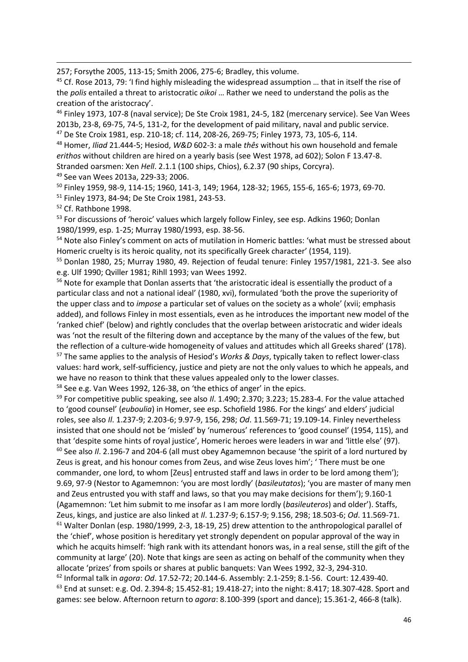257; Forsythe 2005, 113-15; Smith 2006, 275-6; Bradley, this volume.

<sup>45</sup> Cf. Rose 2013, 79: 'I find highly misleading the widespread assumption … that in itself the rise of the *polis* entailed a threat to aristocratic *oikoi* … Rather we need to understand the polis as the creation of the aristocracy'.

<sup>46</sup> Finley 1973, 107-8 (naval service); De Ste Croix 1981, 24-5, 182 (mercenary service). See Van Wees 2013b, 23-8, 69-75, 74-5, 131-2, for the development of paid military, naval and public service. <sup>47</sup> De Ste Croix 1981, esp. 210-18; cf. 114, 208-26, 269-75; Finley 1973, 73, 105-6, 114.

<sup>48</sup> Homer, *Iliad* 21.444-5; Hesiod, *W&D* 602-3: a male *thês* without his own household and female *erithos* without children are hired on a yearly basis (see West 1978, ad 602); Solon F 13.47-8. Stranded oarsmen: Xen *Hell*. 2.1.1 (100 ships, Chios), 6.2.37 (90 ships, Corcyra).

<sup>49</sup> See van Wees 2013a, 229-33; 2006.

<sup>50</sup> Finley 1959, 98-9, 114-15; 1960, 141-3, 149; 1964, 128-32; 1965, 155-6, 165-6; 1973, 69-70.

<sup>51</sup> Finley 1973, 84-94; De Ste Croix 1981, 243-53.

<sup>52</sup> Cf. Rathbone 1998.

**-**

<sup>53</sup> For discussions of 'heroic' values which largely follow Finley, see esp. Adkins 1960; Donlan 1980/1999, esp. 1-25; Murray 1980/1993, esp. 38-56.

<sup>54</sup> Note also Finley's comment on acts of mutilation in Homeric battles: 'what must be stressed about Homeric cruelty is its heroic quality, not its specifically Greek character' (1954, 119).

<sup>55</sup> Donlan 1980, 25; Murray 1980, 49. Rejection of feudal tenure: Finley 1957/1981, 221-3. See also e.g. Ulf 1990; Qviller 1981; Rihll 1993; van Wees 1992.

<sup>56</sup> Note for example that Donlan asserts that 'the aristocratic ideal is essentially the product of a particular class and not a national ideal' (1980, xvi), formulated 'both the prove the superiority of the upper class and to *impose* a particular set of values on the society as a whole' (xvii; emphasis added), and follows Finley in most essentials, even as he introduces the important new model of the 'ranked chief' (below) and rightly concludes that the overlap between aristocratic and wider ideals was 'not the result of the filtering down and acceptance by the many of the values of the few, but the reflection of a culture-wide homogeneity of values and attitudes which all Greeks shared' (178). <sup>57</sup> The same applies to the analysis of Hesiod's *Works & Days*, typically taken to reflect lower-class values: hard work, self-sufficiency, justice and piety are not the only values to which he appeals, and we have no reason to think that these values appealed only to the lower classes.

<sup>58</sup> See e.g. Van Wees 1992, 126-38, on 'the ethics of anger' in the epics.

<sup>59</sup> For competitive public speaking, see also *Il*. 1.490; 2.370; 3.223; 15.283-4. For the value attached to 'good counsel' (*euboulia*) in Homer, see esp. Schofield 1986. For the kings' and elders' judicial roles, see also *Il*. 1.237-9; 2.203-6; 9.97-9, 156, 298; *Od*. 11.569-71; 19.109-14. Finley nevertheless insisted that one should not be 'misled' by 'numerous' references to 'good counsel' (1954, 115), and that 'despite some hints of royal justice', Homeric heroes were leaders in war and 'little else' (97). <sup>60</sup> See also *Il*. 2.196-7 and 204-6 (all must obey Agamemnon because 'the spirit of a lord nurtured by Zeus is great, and his honour comes from Zeus, and wise Zeus loves him'; ' There must be one commander, one lord, to whom [Zeus] entrusted staff and laws in order to be lord among them'); 9.69, 97-9 (Nestor to Agamemnon: 'you are most lordly' (*basileutatos*); 'you are master of many men and Zeus entrusted you with staff and laws, so that you may make decisions for them'); 9.160-1 (Agamemnon: 'Let him submit to me insofar as I am more lordly (*basileuteros*) and older'). Staffs, Zeus, kings, and justice are also linked at *Il*. 1.237-9; 6.157-9; 9.156, 298; 18.503-6; *Od*. 11.569-71.  $61$  Walter Donlan (esp. 1980/1999, 2-3, 18-19, 25) drew attention to the anthropological parallel of the 'chief', whose position is hereditary yet strongly dependent on popular approval of the way in which he acquits himself: 'high rank with its attendant honors was, in a real sense, still the gift of the community at large' (20). Note that kings are seen as acting on behalf of the community when they allocate 'prizes' from spoils or shares at public banquets: Van Wees 1992, 32-3, 294-310. <sup>62</sup> Informal talk in *agora*: *Od*. 17.52-72; 20.144-6. Assembly: 2.1-259; 8.1-56. Court: 12.439-40. <sup>63</sup> End at sunset: e.g. Od. 2.394-8; 15.452-81; 19.418-27; into the night: 8.417; 18.307-428. Sport and games: see below. Afternoon return to *agora*: 8.100-399 (sport and dance); 15.361-2, 466-8 (talk).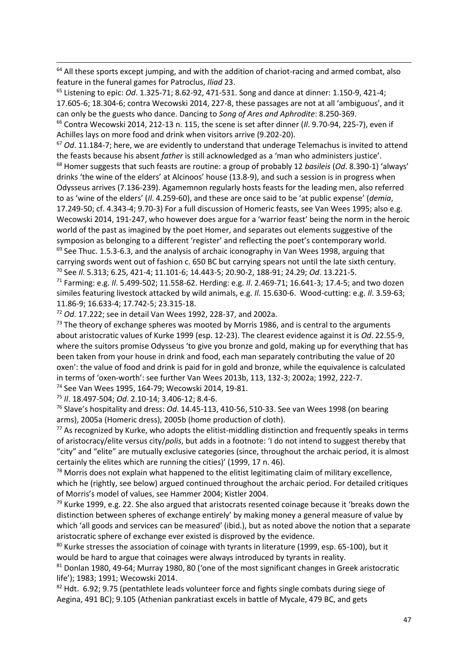$64$  All these sports except jumping, and with the addition of chariot-racing and armed combat, also feature in the funeral games for Patroclus, *Iliad* 23.

<sup>65</sup> Listening to epic: *Od*. 1.325-71; 8.62-92, 471-531. Song and dance at dinner: 1.150-9, 421-4; 17.605-6; 18.304-6; contra Wecowski 2014, 227-8, these passages are not at all 'ambiguous', and it can only be the guests who dance. Dancing to *Song of Ares and Aphrodite*: 8.250-369.

<sup>66</sup> Contra Wecowski 2014, 212-13 n. 115, the scene is set after dinner (*Il*. 9.70-94, 225-7), even if Achilles lays on more food and drink when visitors arrive (9.202-20).

<sup>67</sup> *Od*. 11.184-7; here, we are evidently to understand that underage Telemachus is invited to attend the feasts because his absent *father* is still acknowledged as a 'man who administers justice'. <sup>68</sup> Homer suggests that such feasts are routine: a group of probably 12 *basileis* (*Od*. 8.390-1) 'always' drinks 'the wine of the elders' at Alcinoos' house (13.8-9), and such a session is in progress when Odysseus arrives (7.136-239). Agamemnon regularly hosts feasts for the leading men, also referred to as 'wine of the elders' (*Il*. 4.259-60), and these are once said to be 'at public expense' (*demia*, 17.249-50; cf. 4.343-4; 9.70-3) For a full discussion of Homeric feasts, see Van Wees 1995; also e.g. Wecowski 2014, 191-247, who however does argue for a 'warrior feast' being the norm in the heroic world of the past as imagined by the poet Homer, and separates out elements suggestive of the symposion as belonging to a different 'register' and reflecting the poet's contemporary world. <sup>69</sup> See Thuc. 1.5.3-6.3, and the analysis of archaic iconography in Van Wees 1998, arguing that carrying swords went out of fashion c. 650 BC but carrying spears not until the late sixth century.

<sup>70</sup> See *Il*. 5.313; 6.25, 421-4; 11.101-6; 14.443-5; 20.90-2, 188-91; 24.29; *Od*. 13.221-5.

<sup>71</sup> Farming: e.g. *Il*. 5.499-502; 11.558-62. Herding: e.g. *Il*. 2.469-71; 16.641-3; 17.4-5; and two dozen similes featuring livestock attacked by wild animals, e.g. *Il.* 15.630-6. Wood-cutting: e.g. *Il*. 3.59-63; 11.86-9; 16.633-4; 17.742-5; 23.315-18.

<sup>72</sup> *Od*. 17.222; see in detail Van Wees 1992, 228-37, and 2002a.

 $<sup>73</sup>$  The theory of exchange spheres was mooted by Morris 1986, and is central to the arguments</sup> about aristocratic values of Kurke 1999 (esp. 12-23). The clearest evidence against it is *Od*. 22.55-9, where the suitors promise Odysseus 'to give you bronze and gold, making up for everything that has been taken from your house in drink and food, each man separately contributing the value of 20 oxen': the value of food and drink is paid for in gold and bronze, while the equivalence is calculated in terms of 'oxen-worth': see further Van Wees 2013b, 113, 132-3; 2002a; 1992, 222-7.

<sup>74</sup> See Van Wees 1995, 164-79; Wecowski 2014, 19-81.

<sup>75</sup> *Il*. 18.497-504; *Od*. 2.10-14; 3.406-12; 8.4-6.

**-**

<sup>76</sup> Slave's hospitality and dress: *Od*. 14.45-113, 410-56, 510-33. See van Wees 1998 (on bearing arms), 2005a (Homeric dress), 2005b (home production of cloth).

 $77$  As recognized by Kurke, who adopts the elitist-middling distinction and frequently speaks in terms of aristocracy/elite versus city/*polis*, but adds in a footnote: 'I do not intend to suggest thereby that "city" and "elite" are mutually exclusive categories (since, throughout the archaic period, it is almost certainly the elites which are running the cities)' (1999, 17 n. 46).

 $78$  Morris does not explain what happened to the elitist legitimating claim of military excellence, which he (rightly, see below) argued continued throughout the archaic period. For detailed critiques of Morris's model of values, see Hammer 2004; Kistler 2004.

 $79$  Kurke 1999, e.g. 22. She also argued that aristocrats resented coinage because it 'breaks down the distinction between spheres of exchange entirely' by making money a general measure of value by which 'all goods and services can be measured' (ibid.), but as noted above the notion that a separate aristocratic sphere of exchange ever existed is disproved by the evidence.

<sup>80</sup> Kurke stresses the association of coinage with tyrants in literature (1999, esp. 65-100), but it would be hard to argue that coinages were always introduced by tyrants in reality.

<sup>81</sup> Donlan 1980, 49-64; Murray 1980, 80 ('one of the most significant changes in Greek aristocratic life'); 1983; 1991; Wecowski 2014.

 $82$  Hdt. 6.92; 9.75 (pentathlete leads volunteer force and fights single combats during siege of Aegina, 491 BC); 9.105 (Athenian pankratiast excels in battle of Mycale, 479 BC, and gets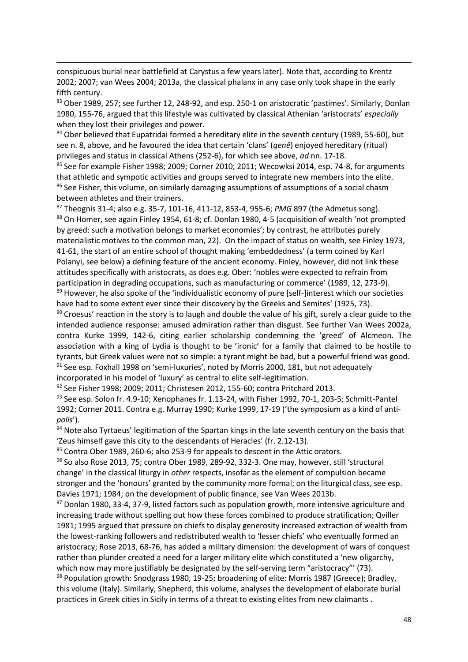conspicuous burial near battlefield at Carystus a few years later). Note that, according to Krentz 2002; 2007; van Wees 2004; 2013a, the classical phalanx in any case only took shape in the early fifth century.

**-**

83 Ober 1989, 257; see further 12, 248-92, and esp. 250-1 on aristocratic 'pastimes'. Similarly, Donlan 1980, 155-76, argued that this lifestyle was cultivated by classical Athenian 'aristocrats' *especially* when they lost their privileges and power.

84 Ober believed that Eupatridai formed a hereditary elite in the seventh century (1989, 55-60), but see n. 8, above, and he favoured the idea that certain 'clans' (*genê*) enjoyed hereditary (ritual) privileges and status in classical Athens (252-6), for which see above, *ad* nn. 17-18.

<sup>85</sup> See for example Fisher 1998; 2009; Corner 2010; 2011; Wecowksi 2014, esp. 74-8, for arguments that athletic and sympotic activities and groups served to integrate new members into the elite. <sup>86</sup> See Fisher, this volume, on similarly damaging assumptions of assumptions of a social chasm between athletes and their trainers.

<sup>87</sup> Theognis 31-4; also e.g. 35-7, 101-16, 411-12, 853-4, 955-6; *PMG* 897 (the Admetus song). 88 On Homer, see again Finley 1954, 61-8; cf. Donlan 1980, 4-5 (acquisition of wealth 'not prompted by greed: such a motivation belongs to market economies'; by contrast, he attributes purely materialistic motives to the common man, 22). On the impact of status on wealth, see Finley 1973, 41-61, the start of an entire school of thought making 'embeddedness' (a term coined by Karl Polanyi, see below) a defining feature of the ancient economy. Finley, however, did not link these attitudes specifically with aristocrats, as does e.g. Ober: 'nobles were expected to refrain from participation in degrading occupations, such as manufacturing or commerce' (1989, 12, 273-9). <sup>89</sup> However, he also spoke of the 'individualistic economy of pure [self-]interest which our societies have had to some extent ever since their discovery by the Greeks and Semites' (1925, 73).

<sup>90</sup> Croesus' reaction in the story is to laugh and double the value of his gift, surely a clear guide to the intended audience response: amused admiration rather than disgust. See further Van Wees 2002a, contra Kurke 1999, 142-6, citing earlier scholarship condemning the 'greed' of Alcmeon. The association with a king of Lydia is thought to be 'ironic' for a family that claimed to be hostile to tyrants, but Greek values were not so simple: a tyrant might be bad, but a powerful friend was good. <sup>91</sup> See esp. Foxhall 1998 on 'semi-luxuries', noted by Morris 2000, 181, but not adequately incorporated in his model of 'luxury' as central to elite self-legitimation.

92 See Fisher 1998; 2009; 2011; Christesen 2012, 155-60; contra Pritchard 2013.

93 See esp. Solon fr. 4.9-10; Xenophanes fr. 1.13-24, with Fisher 1992, 70-1, 203-5; Schmitt-Pantel 1992; Corner 2011. Contra e.g. Murray 1990; Kurke 1999, 17-19 ('the symposium as a kind of anti*polis*').

94 Note also Tyrtaeus' legitimation of the Spartan kings in the late seventh century on the basis that 'Zeus himself gave this city to the descendants of Heracles' (fr. 2.12-13).

 $95$  Contra Ober 1989, 260-6; also 253-9 for appeals to descent in the Attic orators.

<sup>96</sup> So also Rose 2013, 75; contra Ober 1989, 289-92, 332-3. One may, however, still 'structural change' in the classical liturgy in *other* respects, insofar as the element of compulsion became stronger and the 'honours' granted by the community more formal; on the liturgical class, see esp. Davies 1971; 1984; on the development of public finance, see Van Wees 2013b.

 $97$  Donlan 1980, 33-4, 37-9, listed factors such as population growth, more intensive agriculture and increasing trade without spelling out how these forces combined to produce stratification; Qviller 1981; 1995 argued that pressure on chiefs to display generosity increased extraction of wealth from the lowest-ranking followers and redistributed wealth to 'lesser chiefs' who eventually formed an aristocracy; Rose 2013, 68-76, has added a military dimension: the development of wars of conquest rather than plunder created a need for a larger military elite which constituted a 'new oligarchy, which now may more justifiably be designated by the self-serving term "aristocracy"' (73). <sup>98</sup> Population growth: Snodgrass 1980, 19-25; broadening of elite: Morris 1987 (Greece); Bradley, this volume (Italy). Similarly, Shepherd, this volume, analyses the development of elaborate burial practices in Greek cities in Sicily in terms of a threat to existing elites from new claimants .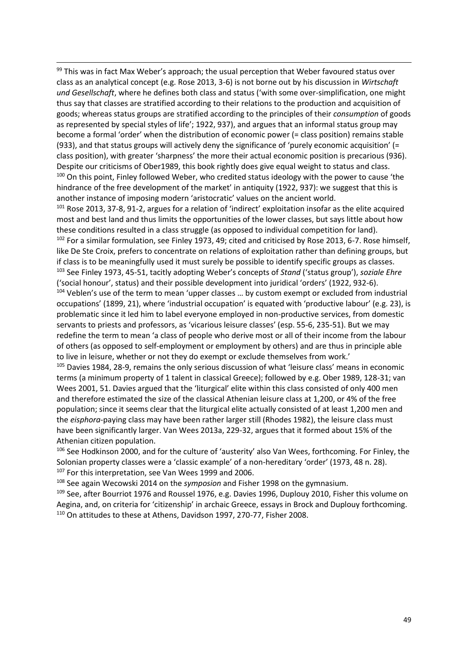99 This was in fact Max Weber's approach; the usual perception that Weber favoured status over class as an analytical concept (e.g. Rose 2013, 3-6) is not borne out by his discussion in *Wirtschaft und Gesellschaft*, where he defines both class and status ('with some over-simplification, one might thus say that classes are stratified according to their relations to the production and acquisition of goods; whereas status groups are stratified according to the principles of their *consumption* of goods as represented by special styles of life'; 1922, 937), and argues that an informal status group may become a formal 'order' when the distribution of economic power (= class position) remains stable (933), and that status groups will actively deny the significance of 'purely economic acquisition' (= class position), with greater 'sharpness' the more their actual economic position is precarious (936). Despite our criticisms of Ober1989, this book rightly does give equal weight to status and class. <sup>100</sup> On this point, Finley followed Weber, who credited status ideology with the power to cause 'the hindrance of the free development of the market' in antiquity (1922, 937): we suggest that this is another instance of imposing modern 'aristocratic' values on the ancient world.

**-**

 $101$  Rose 2013, 37-8, 91-2, argues for a relation of 'indirect' exploitation insofar as the elite acquired most and best land and thus limits the opportunities of the lower classes, but says little about how these conditions resulted in a class struggle (as opposed to individual competition for land).

<sup>102</sup> For a similar formulation, see Finley 1973, 49; cited and criticised by Rose 2013, 6-7. Rose himself, like De Ste Croix, prefers to concentrate on relations of exploitation rather than defining groups, but if class is to be meaningfully used it must surely be possible to identify specific groups as classes. <sup>103</sup> See Finley 1973, 45-51, tacitly adopting Weber's concepts of *Stand* ('status group'), *soziale Ehre* ('social honour', status) and their possible development into juridical 'orders' (1922, 932-6).

<sup>104</sup> Veblen's use of the term to mean 'upper classes ... by custom exempt or excluded from industrial occupations' (1899, 21), where 'industrial occupation' is equated with 'productive labour' (e.g. 23), is problematic since it led him to label everyone employed in non-productive services, from domestic servants to priests and professors, as 'vicarious leisure classes' (esp. 55-6, 235-51). But we may redefine the term to mean 'a class of people who derive most or all of their income from the labour of others (as opposed to self-employment or employment by others) and are thus in principle able to live in leisure, whether or not they do exempt or exclude themselves from work.'

<sup>105</sup> Davies 1984, 28-9, remains the only serious discussion of what 'leisure class' means in economic terms (a minimum property of 1 talent in classical Greece); followed by e.g. Ober 1989, 128-31; van Wees 2001, 51. Davies argued that the 'liturgical' elite within this class consisted of only 400 men and therefore estimated the size of the classical Athenian leisure class at 1,200, or 4% of the free population; since it seems clear that the liturgical elite actually consisted of at least 1,200 men and the *eisphora*-paying class may have been rather larger still (Rhodes 1982), the leisure class must have been significantly larger. Van Wees 2013a, 229-32, argues that it formed about 15% of the Athenian citizen population.

<sup>106</sup> See Hodkinson 2000, and for the culture of 'austerity' also Van Wees, forthcoming. For Finley, the Solonian property classes were a 'classic example' of a non-hereditary 'order' (1973, 48 n. 28). <sup>107</sup> For this interpretation, see Van Wees 1999 and 2006.

<sup>108</sup> See again Wecowski 2014 on the *symposion* and Fisher 1998 on the gymnasium.

<sup>109</sup> See, after Bourriot 1976 and Roussel 1976, e.g. Davies 1996, Duplouy 2010, Fisher this volume on Aegina, and, on criteria for 'citizenship' in archaic Greece, essays in Brock and Duplouy forthcoming. <sup>110</sup> On attitudes to these at Athens, Davidson 1997, 270-77, Fisher 2008.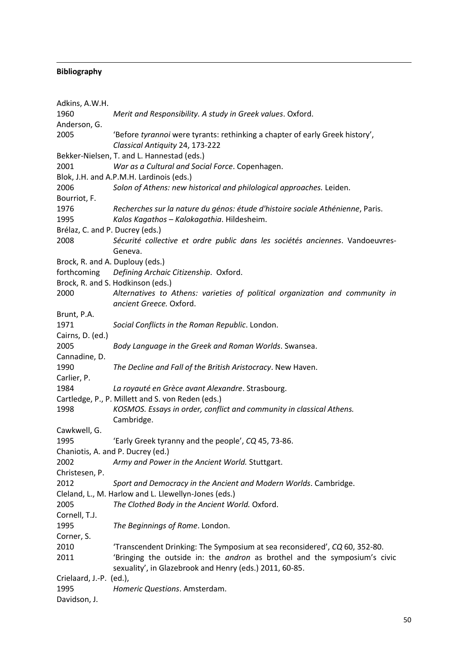# **Bibliography**

**-**

| Adkins, A.W.H.                  |                                                                                |
|---------------------------------|--------------------------------------------------------------------------------|
| 1960                            | Merit and Responsibility. A study in Greek values. Oxford.                     |
| Anderson, G.                    |                                                                                |
| 2005                            | 'Before tyrannoi were tyrants: rethinking a chapter of early Greek history',   |
|                                 | Classical Antiquity 24, 173-222                                                |
|                                 | Bekker-Nielsen, T. and L. Hannestad (eds.)                                     |
| 2001                            | War as a Cultural and Social Force. Copenhagen.                                |
|                                 | Blok, J.H. and A.P.M.H. Lardinois (eds.)                                       |
| 2006                            | Solon of Athens: new historical and philological approaches. Leiden.           |
| Bourriot, F.                    |                                                                                |
| 1976                            | Recherches sur la nature du génos: étude d'histoire sociale Athénienne, Paris. |
| 1995                            | Kalos Kagathos - Kalokagathia. Hildesheim.                                     |
| Brélaz, C. and P. Ducrey (eds.) |                                                                                |
| 2008                            | Sécurité collective et ordre public dans les sociétés anciennes. Vandoeuvres-  |
|                                 | Geneva.                                                                        |
| Brock, R. and A. Duplouy (eds.) |                                                                                |
| forthcoming                     | Defining Archaic Citizenship. Oxford.                                          |
|                                 | Brock, R. and S. Hodkinson (eds.)                                              |
| 2000                            | Alternatives to Athens: varieties of political organization and community in   |
|                                 | ancient Greece. Oxford.                                                        |
| Brunt, P.A.                     |                                                                                |
| 1971                            | Social Conflicts in the Roman Republic. London.                                |
| Cairns, D. (ed.)                |                                                                                |
| 2005                            | Body Language in the Greek and Roman Worlds. Swansea.                          |
| Cannadine, D.                   |                                                                                |
| 1990                            | The Decline and Fall of the British Aristocracy. New Haven.                    |
| Carlier, P.                     |                                                                                |
| 1984                            | La royauté en Grèce avant Alexandre. Strasbourg.                               |
|                                 | Cartledge, P., P. Millett and S. von Reden (eds.)                              |
| 1998                            | KOSMOS. Essays in order, conflict and community in classical Athens.           |
|                                 | Cambridge.                                                                     |
| Cawkwell, G.                    |                                                                                |
| 1995                            | 'Early Greek tyranny and the people', CQ 45, 73-86.                            |
|                                 | Chaniotis, A. and P. Ducrey (ed.)                                              |
| 2002                            | Army and Power in the Ancient World. Stuttgart.                                |
| Christesen, P.                  |                                                                                |
| 2012                            | Sport and Democracy in the Ancient and Modern Worlds. Cambridge.               |
|                                 | Cleland, L., M. Harlow and L. Llewellyn-Jones (eds.)                           |
| 2005                            | The Clothed Body in the Ancient World. Oxford.                                 |
| Cornell, T.J.                   |                                                                                |
| 1995                            | The Beginnings of Rome. London.                                                |
| Corner, S.                      |                                                                                |
| 2010                            | 'Transcendent Drinking: The Symposium at sea reconsidered', CQ 60, 352-80.     |
| 2011                            | 'Bringing the outside in: the andron as brothel and the symposium's civic      |
|                                 | sexuality', in Glazebrook and Henry (eds.) 2011, 60-85.                        |
| Crielaard, J.-P. (ed.),         |                                                                                |
| 1995                            | Homeric Questions. Amsterdam.                                                  |
| Davidson, J.                    |                                                                                |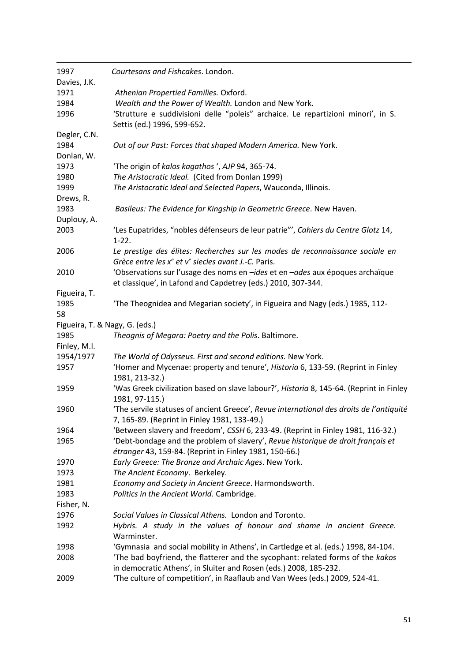| 1997         | Courtesans and Fishcakes. London.                                                                                                                    |
|--------------|------------------------------------------------------------------------------------------------------------------------------------------------------|
| Davies, J.K. |                                                                                                                                                      |
| 1971         | Athenian Propertied Families. Oxford.                                                                                                                |
| 1984         | Wealth and the Power of Wealth. London and New York.                                                                                                 |
| 1996         | 'Strutture e suddivisioni delle "poleis" archaice. Le repartizioni minori', in S.<br>Settis (ed.) 1996, 599-652.                                     |
| Degler, C.N. |                                                                                                                                                      |
| 1984         | Out of our Past: Forces that shaped Modern America. New York.                                                                                        |
| Donlan, W.   |                                                                                                                                                      |
| 1973         | 'The origin of kalos kagathos ', AJP 94, 365-74.                                                                                                     |
| 1980         | The Aristocratic Ideal. (Cited from Donlan 1999)                                                                                                     |
| 1999         | The Aristocratic Ideal and Selected Papers, Wauconda, Illinois.                                                                                      |
| Drews, R.    |                                                                                                                                                      |
| 1983         | Basileus: The Evidence for Kingship in Geometric Greece. New Haven.                                                                                  |
| Duplouy, A.  |                                                                                                                                                      |
| 2003         | 'Les Eupatrides, "nobles défenseurs de leur patrie"', Cahiers du Centre Glotz 14,<br>$1-22.$                                                         |
| 2006         | Le prestige des élites: Recherches sur les modes de reconnaissance sociale en<br>Grèce entre les $x^e$ et $v^e$ siecles avant J.-C. Paris.           |
| 2010         | 'Observations sur l'usage des noms en -ides et en -ades aux époques archaïque                                                                        |
|              | et classique', in Lafond and Capdetrey (eds.) 2010, 307-344.                                                                                         |
| Figueira, T. |                                                                                                                                                      |
| 1985         | 'The Theognidea and Megarian society', in Figueira and Nagy (eds.) 1985, 112-                                                                        |
| 58           |                                                                                                                                                      |
|              | Figueira, T. & Nagy, G. (eds.)                                                                                                                       |
| 1985         | Theognis of Megara: Poetry and the Polis. Baltimore.                                                                                                 |
| Finley, M.I. |                                                                                                                                                      |
| 1954/1977    | The World of Odysseus. First and second editions. New York.                                                                                          |
| 1957         | 'Homer and Mycenae: property and tenure', Historia 6, 133-59. (Reprint in Finley                                                                     |
|              | 1981, 213-32.)                                                                                                                                       |
| 1959         | 'Was Greek civilization based on slave labour?', Historia 8, 145-64. (Reprint in Finley                                                              |
|              | 1981, 97-115.)                                                                                                                                       |
| 1960         | 'The servile statuses of ancient Greece', Revue international des droits de l'antiquité                                                              |
|              | 7, 165-89. (Reprint in Finley 1981, 133-49.)                                                                                                         |
| 1964         | 'Between slavery and freedom', CSSH 6, 233-49. (Reprint in Finley 1981, 116-32.)                                                                     |
| 1965         | 'Debt-bondage and the problem of slavery', Revue historique de droit français et                                                                     |
|              | étranger 43, 159-84. (Reprint in Finley 1981, 150-66.)                                                                                               |
| 1970         | Early Greece: The Bronze and Archaic Ages. New York.                                                                                                 |
| 1973         | The Ancient Economy. Berkeley.                                                                                                                       |
| 1981         | Economy and Society in Ancient Greece. Harmondsworth.                                                                                                |
| 1983         | Politics in the Ancient World. Cambridge.                                                                                                            |
| Fisher, N.   |                                                                                                                                                      |
| 1976         | Social Values in Classical Athens. London and Toronto.                                                                                               |
| 1992         | Hybris. A study in the values of honour and shame in ancient Greece.<br>Warminster.                                                                  |
| 1998         | 'Gymnasia and social mobility in Athens', in Cartledge et al. (eds.) 1998, 84-104.                                                                   |
| 2008         | 'The bad boyfriend, the flatterer and the sycophant: related forms of the kakos<br>in democratic Athens', in Sluiter and Rosen (eds.) 2008, 185-232. |
| 2009         | 'The culture of competition', in Raaflaub and Van Wees (eds.) 2009, 524-41.                                                                          |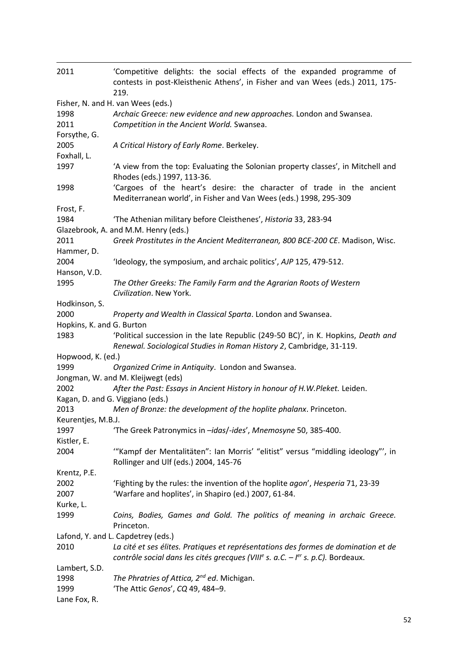| 2011                      | 'Competitive delights: the social effects of the expanded programme of<br>contests in post-Kleisthenic Athens', in Fisher and van Wees (eds.) 2011, 175-<br>219. |
|---------------------------|------------------------------------------------------------------------------------------------------------------------------------------------------------------|
|                           | Fisher, N. and H. van Wees (eds.)                                                                                                                                |
| 1998                      | Archaic Greece: new evidence and new approaches. London and Swansea.                                                                                             |
| 2011                      | Competition in the Ancient World. Swansea.                                                                                                                       |
| Forsythe, G.              |                                                                                                                                                                  |
| 2005                      | A Critical History of Early Rome. Berkeley.                                                                                                                      |
| Foxhall, L.               |                                                                                                                                                                  |
| 1997                      | 'A view from the top: Evaluating the Solonian property classes', in Mitchell and                                                                                 |
|                           | Rhodes (eds.) 1997, 113-36.                                                                                                                                      |
| 1998                      | 'Cargoes of the heart's desire: the character of trade in the ancient                                                                                            |
|                           | Mediterranean world', in Fisher and Van Wees (eds.) 1998, 295-309                                                                                                |
| Frost, F.                 |                                                                                                                                                                  |
| 1984                      | 'The Athenian military before Cleisthenes', Historia 33, 283-94                                                                                                  |
|                           | Glazebrook, A. and M.M. Henry (eds.)                                                                                                                             |
| 2011<br>Hammer, D.        | Greek Prostitutes in the Ancient Mediterranean, 800 BCE-200 CE. Madison, Wisc.                                                                                   |
| 2004                      | 'Ideology, the symposium, and archaic politics', AJP 125, 479-512.                                                                                               |
|                           |                                                                                                                                                                  |
| Hanson, V.D.              |                                                                                                                                                                  |
| 1995                      | The Other Greeks: The Family Farm and the Agrarian Roots of Western<br>Civilization. New York.                                                                   |
|                           |                                                                                                                                                                  |
| Hodkinson, S.<br>2000     |                                                                                                                                                                  |
|                           | Property and Wealth in Classical Sparta. London and Swansea.                                                                                                     |
| Hopkins, K. and G. Burton |                                                                                                                                                                  |
| 1983                      | 'Political succession in the late Republic (249-50 BC)', in K. Hopkins, Death and<br>Renewal. Sociological Studies in Roman History 2, Cambridge, 31-119.        |
| Hopwood, K. (ed.)         |                                                                                                                                                                  |
| 1999                      | Organized Crime in Antiquity. London and Swansea.                                                                                                                |
|                           | Jongman, W. and M. Kleijwegt (eds)                                                                                                                               |
| 2002                      | After the Past: Essays in Ancient History in honour of H.W.Pleket. Leiden.                                                                                       |
|                           | Kagan, D. and G. Viggiano (eds.)                                                                                                                                 |
| 2013                      | Men of Bronze: the development of the hoplite phalanx. Princeton.                                                                                                |
| Keurentjes, M.B.J.        |                                                                                                                                                                  |
| 1997                      | 'The Greek Patronymics in -idas/-ides', Mnemosyne 50, 385-400.                                                                                                   |
| Kistler, E.               |                                                                                                                                                                  |
| 2004                      | "Kampf der Mentalitäten": Ian Morris' "elitist" versus "middling ideology"', in                                                                                  |
|                           | Rollinger and Ulf (eds.) 2004, 145-76                                                                                                                            |
| Krentz, P.E.              |                                                                                                                                                                  |
| 2002                      | 'Fighting by the rules: the invention of the hoplite agon', Hesperia 71, 23-39                                                                                   |
| 2007                      | 'Warfare and hoplites', in Shapiro (ed.) 2007, 61-84.                                                                                                            |
| Kurke, L.                 |                                                                                                                                                                  |
| 1999                      | Coins, Bodies, Games and Gold. The politics of meaning in archaic Greece.<br>Princeton.                                                                          |
|                           | Lafond, Y. and L. Capdetrey (eds.)                                                                                                                               |
| 2010                      | La cité et ses élites. Pratiques et représentations des formes de domination et de                                                                               |
|                           | contrôle social dans les cités grecques (VIII <sup>e</sup> s. a.C. - I <sup>er</sup> s. p.C). Bordeaux.                                                          |
| Lambert, S.D.             |                                                                                                                                                                  |
| 1998                      | The Phratries of Attica, 2 <sup>nd</sup> ed. Michigan.                                                                                                           |
| 1999                      | 'The Attic Genos', CQ 49, 484-9.                                                                                                                                 |
| Lane Fox, R.              |                                                                                                                                                                  |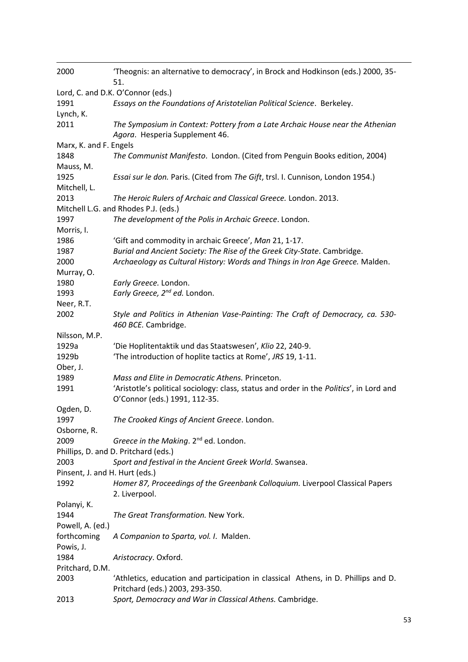| 2000                           | 'Theognis: an alternative to democracy', in Brock and Hodkinson (eds.) 2000, 35-<br>51.                               |
|--------------------------------|-----------------------------------------------------------------------------------------------------------------------|
|                                | Lord, C. and D.K. O'Connor (eds.)                                                                                     |
| 1991                           | Essays on the Foundations of Aristotelian Political Science. Berkeley.                                                |
| Lynch, K.                      |                                                                                                                       |
| 2011                           | The Symposium in Context: Pottery from a Late Archaic House near the Athenian                                         |
|                                | Agora. Hesperia Supplement 46.                                                                                        |
| Marx, K. and F. Engels         |                                                                                                                       |
| 1848                           | The Communist Manifesto. London. (Cited from Penguin Books edition, 2004)                                             |
| Mauss, M.                      |                                                                                                                       |
| 1925                           | Essai sur le don. Paris. (Cited from The Gift, trsl. I. Cunnison, London 1954.)                                       |
| Mitchell, L.                   |                                                                                                                       |
| 2013                           | The Heroic Rulers of Archaic and Classical Greece. London. 2013.                                                      |
|                                | Mitchell L.G. and Rhodes P.J. (eds.)                                                                                  |
| 1997                           | The development of the Polis in Archaic Greece. London.                                                               |
| Morris, I.                     |                                                                                                                       |
| 1986                           | 'Gift and commodity in archaic Greece', Man 21, 1-17.                                                                 |
| 1987                           | Burial and Ancient Society: The Rise of the Greek City-State. Cambridge.                                              |
| 2000                           | Archaeology as Cultural History: Words and Things in Iron Age Greece. Malden.                                         |
| Murray, O.                     |                                                                                                                       |
| 1980                           | Early Greece. London.                                                                                                 |
| 1993                           | Early Greece, 2 <sup>nd</sup> ed. London.                                                                             |
| Neer, R.T.                     |                                                                                                                       |
| 2002                           | Style and Politics in Athenian Vase-Painting: The Craft of Democracy, ca. 530-<br>460 BCE. Cambridge.                 |
| Nilsson, M.P.                  |                                                                                                                       |
| 1929a                          | 'Die Hoplitentaktik und das Staatswesen', Klio 22, 240-9.                                                             |
| 1929b                          | 'The introduction of hoplite tactics at Rome', JRS 19, 1-11.                                                          |
| Ober, J.                       |                                                                                                                       |
| 1989                           | Mass and Elite in Democratic Athens. Princeton.                                                                       |
| 1991                           | 'Aristotle's political sociology: class, status and order in the Politics', in Lord and                               |
|                                | O'Connor (eds.) 1991, 112-35.                                                                                         |
| Ogden, D                       |                                                                                                                       |
| 1997                           | The Crooked Kings of Ancient Greece. London.                                                                          |
| Osborne, R.                    |                                                                                                                       |
| 2009                           | Greece in the Making. 2 <sup>nd</sup> ed. London.                                                                     |
|                                | Phillips, D. and D. Pritchard (eds.)                                                                                  |
| 2003                           | Sport and festival in the Ancient Greek World. Swansea.                                                               |
| Pinsent, J. and H. Hurt (eds.) |                                                                                                                       |
| 1992                           | Homer 87, Proceedings of the Greenbank Colloquium. Liverpool Classical Papers<br>2. Liverpool.                        |
| Polanyi, K.                    |                                                                                                                       |
| 1944                           | The Great Transformation. New York.                                                                                   |
| Powell, A. (ed.)               |                                                                                                                       |
| forthcoming                    | A Companion to Sparta, vol. I. Malden.                                                                                |
| Powis, J.                      |                                                                                                                       |
| 1984                           | Aristocracy. Oxford.                                                                                                  |
| Pritchard, D.M.                |                                                                                                                       |
| 2003                           | 'Athletics, education and participation in classical Athens, in D. Phillips and D.<br>Pritchard (eds.) 2003, 293-350. |
| 2013                           | Sport, Democracy and War in Classical Athens. Cambridge.                                                              |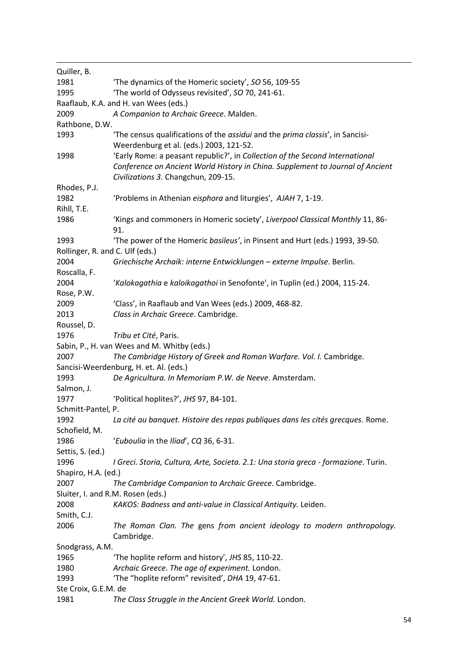| Quiller, B.                             |                                                                                                                                                                                                       |  |
|-----------------------------------------|-------------------------------------------------------------------------------------------------------------------------------------------------------------------------------------------------------|--|
| 1981                                    | 'The dynamics of the Homeric society', SO 56, 109-55                                                                                                                                                  |  |
| 1995                                    | 'The world of Odysseus revisited', SO 70, 241-61.                                                                                                                                                     |  |
|                                         | Raaflaub, K.A. and H. van Wees (eds.)                                                                                                                                                                 |  |
| 2009                                    | A Companion to Archaic Greece. Malden.                                                                                                                                                                |  |
| Rathbone, D.W.                          |                                                                                                                                                                                                       |  |
| 1993                                    | 'The census qualifications of the assidui and the prima classis', in Sancisi-                                                                                                                         |  |
|                                         | Weerdenburg et al. (eds.) 2003, 121-52.                                                                                                                                                               |  |
| 1998                                    | 'Early Rome: a peasant republic?', in Collection of the Second International<br>Conference on Ancient World History in China. Supplement to Journal of Ancient<br>Civilizations 3. Changchun, 209-15. |  |
| Rhodes, P.J.                            |                                                                                                                                                                                                       |  |
| 1982                                    | 'Problems in Athenian eisphora and liturgies', AJAH 7, 1-19.                                                                                                                                          |  |
| Rihll, T.E.                             |                                                                                                                                                                                                       |  |
| 1986                                    | 'Kings and commoners in Homeric society', Liverpool Classical Monthly 11, 86-<br>91.                                                                                                                  |  |
| 1993<br>Rollinger, R. and C. Ulf (eds.) | 'The power of the Homeric basileus', in Pinsent and Hurt (eds.) 1993, 39-50.                                                                                                                          |  |
| 2004                                    | Griechische Archaik: interne Entwicklungen - externe Impulse. Berlin.                                                                                                                                 |  |
| Roscalla, F.                            |                                                                                                                                                                                                       |  |
| 2004                                    | 'Kalokagathia e kaloikagathoi in Senofonte', in Tuplin (ed.) 2004, 115-24.                                                                                                                            |  |
| Rose, P.W.                              |                                                                                                                                                                                                       |  |
| 2009                                    | 'Class', in Raaflaub and Van Wees (eds.) 2009, 468-82.                                                                                                                                                |  |
| 2013                                    | Class in Archaic Greece. Cambridge.                                                                                                                                                                   |  |
| Roussel, D.                             |                                                                                                                                                                                                       |  |
| 1976                                    | Tribu et Cité, Paris.                                                                                                                                                                                 |  |
|                                         | Sabin, P., H. van Wees and M. Whitby (eds.)                                                                                                                                                           |  |
| 2007                                    | The Cambridge History of Greek and Roman Warfare. Vol. I. Cambridge.                                                                                                                                  |  |
|                                         | Sancisi-Weerdenburg, H. et. Al. (eds.)                                                                                                                                                                |  |
| 1993                                    | De Agricultura. In Memoriam P.W. de Neeve. Amsterdam.                                                                                                                                                 |  |
| Salmon, J.                              |                                                                                                                                                                                                       |  |
| 1977                                    | 'Political hoplites?', JHS 97, 84-101.                                                                                                                                                                |  |
| Schmitt-Pantel, P.                      |                                                                                                                                                                                                       |  |
| 1992                                    | La cité au banquet. Histoire des repas publiques dans les cités grecques. Rome.                                                                                                                       |  |
| Schofield, M.                           |                                                                                                                                                                                                       |  |
| 1986                                    | 'Euboulia in the Iliad', CQ 36, 6-31.                                                                                                                                                                 |  |
| Settis, S. (ed.)                        |                                                                                                                                                                                                       |  |
| 1996                                    | I Greci. Storia, Cultura, Arte, Societa. 2.1: Una storia greca - formazione. Turin.                                                                                                                   |  |
| Shapiro, H.A. (ed.)                     |                                                                                                                                                                                                       |  |
| 2007                                    | The Cambridge Companion to Archaic Greece. Cambridge.                                                                                                                                                 |  |
|                                         |                                                                                                                                                                                                       |  |
|                                         | Sluiter, I. and R.M. Rosen (eds.)                                                                                                                                                                     |  |
| 2008                                    | KAKOS: Badness and anti-value in Classical Antiquity. Leiden.                                                                                                                                         |  |
| Smith, C.J.                             |                                                                                                                                                                                                       |  |
| 2006                                    | The Roman Clan. The gens from ancient ideology to modern anthropology.<br>Cambridge.                                                                                                                  |  |
| Snodgrass, A.M.                         |                                                                                                                                                                                                       |  |
| 1965                                    | 'The hoplite reform and history', JHS 85, 110-22.                                                                                                                                                     |  |
| 1980                                    | Archaic Greece. The age of experiment. London.                                                                                                                                                        |  |
| 1993                                    | 'The "hoplite reform" revisited', DHA 19, 47-61.                                                                                                                                                      |  |
| Ste Croix, G.E.M. de                    |                                                                                                                                                                                                       |  |
| 1981                                    | The Class Struggle in the Ancient Greek World. London.                                                                                                                                                |  |